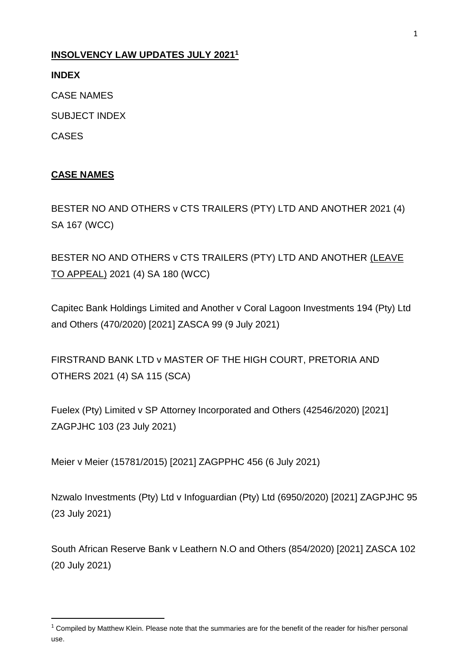### **INSOLVENCY LAW UPDATES JULY 2021<sup>1</sup>**

**INDEX**

CASE NAMES

SUBJECT INDEX

CASES

 $\overline{a}$ 

## **CASE NAMES**

BESTER NO AND OTHERS v CTS TRAILERS (PTY) LTD AND ANOTHER 2021 (4) SA 167 (WCC)

BESTER NO AND OTHERS v CTS TRAILERS (PTY) LTD AND ANOTHER (LEAVE TO APPEAL) 2021 (4) SA 180 (WCC)

Capitec Bank Holdings Limited and Another v Coral Lagoon Investments 194 (Pty) Ltd and Others (470/2020) [2021] ZASCA 99 (9 July 2021)

FIRSTRAND BANK LTD v MASTER OF THE HIGH COURT, PRETORIA AND OTHERS 2021 (4) SA 115 (SCA)

Fuelex (Pty) Limited v SP Attorney Incorporated and Others (42546/2020) [2021] ZAGPJHC 103 (23 July 2021)

Meier v Meier (15781/2015) [2021] ZAGPPHC 456 (6 July 2021)

Nzwalo Investments (Pty) Ltd v Infoguardian (Pty) Ltd (6950/2020) [2021] ZAGPJHC 95 (23 July 2021)

South African Reserve Bank v Leathern N.O and Others (854/2020) [2021] ZASCA 102 (20 July 2021)

 $1$  Compiled by Matthew Klein. Please note that the summaries are for the benefit of the reader for his/her personal use.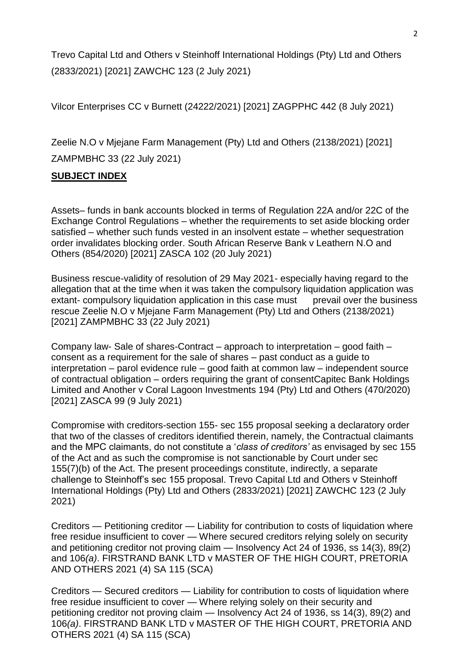Trevo Capital Ltd and Others v Steinhoff International Holdings (Pty) Ltd and Others (2833/2021) [2021] ZAWCHC 123 (2 July 2021)

Vilcor Enterprises CC v Burnett (24222/2021) [2021] ZAGPPHC 442 (8 July 2021)

Zeelie N.O v Mjejane Farm Management (Pty) Ltd and Others (2138/2021) [2021] ZAMPMBHC 33 (22 July 2021)

### **SUBJECT INDEX**

Assets– funds in bank accounts blocked in terms of Regulation 22A and/or 22C of the Exchange Control Regulations – whether the requirements to set aside blocking order satisfied – whether such funds vested in an insolvent estate – whether sequestration order invalidates blocking order. South African Reserve Bank v Leathern N.O and Others (854/2020) [2021] ZASCA 102 (20 July 2021)

Business rescue-validity of resolution of 29 May 2021- especially having regard to the allegation that at the time when it was taken the compulsory liquidation application was extant- compulsory liquidation application in this case must prevail over the business rescue Zeelie N.O v Mjejane Farm Management (Pty) Ltd and Others (2138/2021) [2021] ZAMPMBHC 33 (22 July 2021)

Company law- Sale of shares-Contract – approach to interpretation – good faith – consent as a requirement for the sale of shares – past conduct as a guide to interpretation – parol evidence rule – good faith at common law – independent source of contractual obligation – orders requiring the grant of consentCapitec Bank Holdings Limited and Another v Coral Lagoon Investments 194 (Pty) Ltd and Others (470/2020) [2021] ZASCA 99 (9 July 2021)

Compromise with creditors-section 155- sec 155 proposal seeking a declaratory order that two of the classes of creditors identified therein, namely, the Contractual claimants and the MPC claimants, do not constitute a '*class of creditors'* as envisaged by sec 155 of the Act and as such the compromise is not sanctionable by Court under sec 155(7)(b) of the Act. The present proceedings constitute, indirectly, a separate challenge to Steinhoff's sec 155 proposal. Trevo Capital Ltd and Others v Steinhoff International Holdings (Pty) Ltd and Others (2833/2021) [2021] ZAWCHC 123 (2 July 2021)

Creditors — Petitioning creditor — Liability for contribution to costs of liquidation where free residue insufficient to cover — Where secured creditors relying solely on security and petitioning creditor not proving claim — Insolvency Act 24 of 1936, ss 14(3), 89(2) and 106*(a)*. FIRSTRAND BANK LTD v MASTER OF THE HIGH COURT, PRETORIA AND OTHERS 2021 (4) SA 115 (SCA)

Creditors — Secured creditors — Liability for contribution to costs of liquidation where free residue insufficient to cover — Where relying solely on their security and petitioning creditor not proving claim — Insolvency Act 24 of 1936, ss 14(3), 89(2) and 106*(a)*. FIRSTRAND BANK LTD v MASTER OF THE HIGH COURT, PRETORIA AND OTHERS 2021 (4) SA 115 (SCA)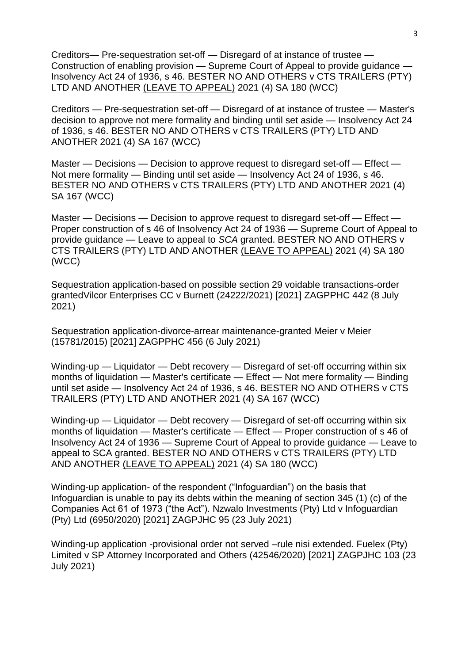Creditors— Pre-sequestration set-off — Disregard of at instance of trustee — Construction of enabling provision — Supreme Court of Appeal to provide guidance — Insolvency Act 24 of 1936, s 46. BESTER NO AND OTHERS v CTS TRAILERS (PTY) LTD AND ANOTHER (LEAVE TO APPEAL) 2021 (4) SA 180 (WCC)

Creditors — Pre-sequestration set-off — Disregard of at instance of trustee — Master's decision to approve not mere formality and binding until set aside — Insolvency Act 24 of 1936, s 46. BESTER NO AND OTHERS v CTS TRAILERS (PTY) LTD AND ANOTHER 2021 (4) SA 167 (WCC)

Master — Decisions — Decision to approve request to disregard set-off — Effect — Not mere formality — Binding until set aside — Insolvency Act 24 of 1936, s 46. BESTER NO AND OTHERS v CTS TRAILERS (PTY) LTD AND ANOTHER 2021 (4) SA 167 (WCC)

Master — Decisions — Decision to approve request to disregard set-off — Effect — Proper construction of s 46 of Insolvency Act 24 of 1936 — Supreme Court of Appeal to provide guidance — Leave to appeal to *SCA* granted. BESTER NO AND OTHERS v CTS TRAILERS (PTY) LTD AND ANOTHER (LEAVE TO APPEAL) 2021 (4) SA 180 (WCC)

Sequestration application-based on possible section 29 voidable transactions-order grantedVilcor Enterprises CC v Burnett (24222/2021) [2021] ZAGPPHC 442 (8 July 2021)

Sequestration application-divorce-arrear maintenance-granted Meier v Meier (15781/2015) [2021] ZAGPPHC 456 (6 July 2021)

Winding-up — Liquidator — Debt recovery — Disregard of set-off occurring within six months of liquidation — Master's certificate — Effect — Not mere formality — Binding until set aside — Insolvency Act 24 of 1936, s 46. BESTER NO AND OTHERS v CTS TRAILERS (PTY) LTD AND ANOTHER 2021 (4) SA 167 (WCC)

Winding-up — Liquidator — Debt recovery — Disregard of set-off occurring within six months of liquidation — Master's certificate — Effect — Proper construction of s 46 of Insolvency Act 24 of 1936 — Supreme Court of Appeal to provide guidance — Leave to appeal to SCA granted. BESTER NO AND OTHERS v CTS TRAILERS (PTY) LTD AND ANOTHER (LEAVE TO APPEAL) 2021 (4) SA 180 (WCC)

Winding-up application- of the respondent ("Infoguardian") on the basis that Infoguardian is unable to pay its debts within the meaning of section 345 (1) (c) of the Companies Act 61 of 1973 ("the Act"). Nzwalo Investments (Pty) Ltd v Infoguardian (Pty) Ltd (6950/2020) [2021] ZAGPJHC 95 (23 July 2021)

Winding-up application -provisional order not served –rule nisi extended. Fuelex (Pty) Limited v SP Attorney Incorporated and Others (42546/2020) [2021] ZAGPJHC 103 (23 July 2021)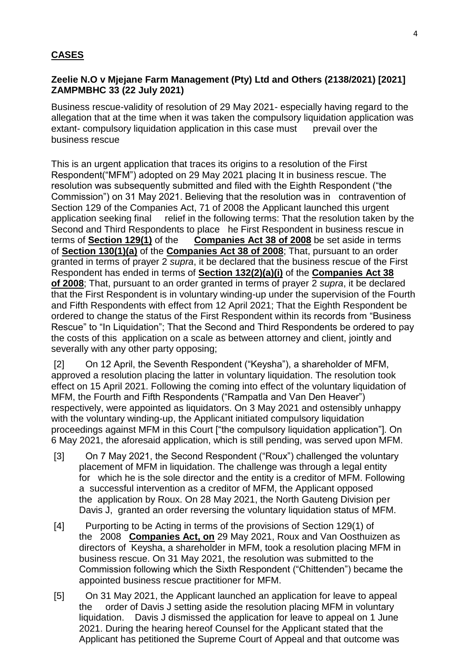### **CASES**

### **Zeelie N.O v Mjejane Farm Management (Pty) Ltd and Others (2138/2021) [2021] ZAMPMBHC 33 (22 July 2021)**

Business rescue-validity of resolution of 29 May 2021- especially having regard to the allegation that at the time when it was taken the compulsory liquidation application was extant- compulsory liquidation application in this case must prevail over the business rescue

This is an urgent application that traces its origins to a resolution of the First Respondent("MFM") adopted on 29 May 2021 placing It in business rescue. The resolution was subsequently submitted and filed with the Eighth Respondent ("the Commission") on 31 May 2021. Believing that the resolution was in contravention of Section 129 of the Companies Act, 71 of 2008 the Applicant launched this urgent application seeking final relief in the following terms: That the resolution taken by the Second and Third Respondents to place he First Respondent in business rescue in terms of **Section 129(1)** of the **Companies Act 38 of 2008** be set aside in terms of **Section 130(1)(a)** of the **Companies Act 38 of 2008**; That, pursuant to an order granted in terms of prayer 2 *supra*, it be declared that the business rescue of the First Respondent has ended in terms of **Section 132(2)(a)(i)** of the **Companies Act 38 of 2008**; That, pursuant to an order granted in terms of prayer 2 *supra*, it be declared that the First Respondent is in voluntary winding-up under the supervision of the Fourth and Fifth Respondents with effect from 12 April 2021; That the Eighth Respondent be ordered to change the status of the First Respondent within its records from "Business Rescue" to "In Liquidation"; That the Second and Third Respondents be ordered to pay the costs of this application on a scale as between attorney and client, jointly and severally with any other party opposing;

[2] On 12 April, the Seventh Respondent ("Keysha"), a shareholder of MFM, approved a resolution placing the latter in voluntary liquidation. The resolution took effect on 15 April 2021. Following the coming into effect of the voluntary liquidation of MFM, the Fourth and Fifth Respondents ("Rampatla and Van Den Heaver") respectively, were appointed as liquidators. On 3 May 2021 and ostensibly unhappy with the voluntary winding-up, the Applicant initiated compulsory liquidation proceedings against MFM in this Court ["the compulsory liquidation application"]. On 6 May 2021, the aforesaid application, which is still pending, was served upon MFM.

- [3] On 7 May 2021, the Second Respondent ("Roux") challenged the voluntary placement of MFM in liquidation. The challenge was through a legal entity for which he is the sole director and the entity is a creditor of MFM. Following a successful intervention as a creditor of MFM, the Applicant opposed the application by Roux. On 28 May 2021, the North Gauteng Division per Davis J, granted an order reversing the voluntary liquidation status of MFM.
- [4] Purporting to be Acting in terms of the provisions of Section 129(1) of the 2008 **Companies Act, on** 29 May 2021, Roux and Van Oosthuizen as directors of Keysha, a shareholder in MFM, took a resolution placing MFM in business rescue. On 31 May 2021, the resolution was submitted to the Commission following which the Sixth Respondent ("Chittenden") became the appointed business rescue practitioner for MFM.
- [5] On 31 May 2021, the Applicant launched an application for leave to appeal the order of Davis J setting aside the resolution placing MFM in voluntary liquidation. Davis J dismissed the application for leave to appeal on 1 June 2021. During the hearing hereof Counsel for the Applicant stated that the Applicant has petitioned the Supreme Court of Appeal and that outcome was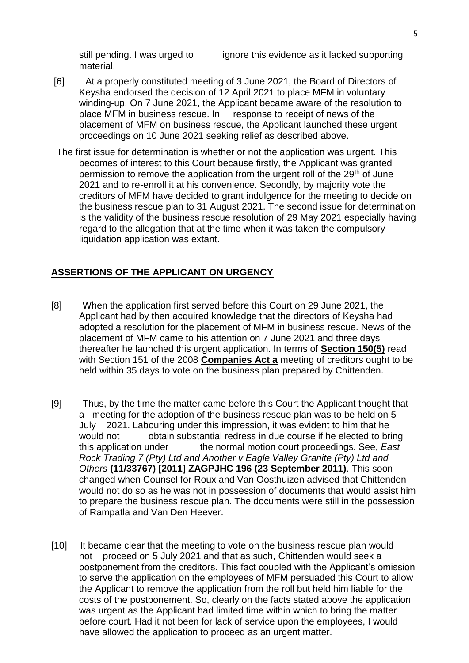material.

still pending. I was urged to ignore this evidence as it lacked supporting

- [6] At a properly constituted meeting of 3 June 2021, the Board of Directors of Keysha endorsed the decision of 12 April 2021 to place MFM in voluntary winding-up. On 7 June 2021, the Applicant became aware of the resolution to place MFM in business rescue. In response to receipt of news of the placement of MFM on business rescue, the Applicant launched these urgent proceedings on 10 June 2021 seeking relief as described above.
- The first issue for determination is whether or not the application was urgent. This becomes of interest to this Court because firstly, the Applicant was granted permission to remove the application from the urgent roll of the 29<sup>th</sup> of June 2021 and to re-enroll it at his convenience. Secondly, by majority vote the creditors of MFM have decided to grant indulgence for the meeting to decide on the business rescue plan to 31 August 2021. The second issue for determination is the validity of the business rescue resolution of 29 May 2021 especially having regard to the allegation that at the time when it was taken the compulsory liquidation application was extant.

#### **ASSERTIONS OF THE APPLICANT ON URGENCY**

- [8] When the application first served before this Court on 29 June 2021, the Applicant had by then acquired knowledge that the directors of Keysha had adopted a resolution for the placement of MFM in business rescue. News of the placement of MFM came to his attention on 7 June 2021 and three days thereafter he launched this urgent application. In terms of **[Section 150\(5\)](http://www.saflii.org/za/legis/consol_act/ca2008107/index.html#s150)** read with Section 151 of the 2008 **[Companies Act a](http://www.saflii.org/za/legis/consol_act/ca2008107/)** meeting of creditors ought to be held within 35 days to vote on the business plan prepared by Chittenden.
- [9] Thus, by the time the matter came before this Court the Applicant thought that a meeting for the adoption of the business rescue plan was to be held on 5 July 2021. Labouring under this impression, it was evident to him that he would not obtain substantial redress in due course if he elected to bring this application under the normal motion court proceedings. See, *East Rock Trading 7 (Pty) Ltd and Another v Eagle Valley Granite (Pty) Ltd and Others* **(11/33767) [2011] ZAGPJHC 196 (23 September 2011)**. This soon changed when Counsel for Roux and Van Oosthuizen advised that Chittenden would not do so as he was not in possession of documents that would assist him to prepare the business rescue plan. The documents were still in the possession of Rampatla and Van Den Heever.
- [10] It became clear that the meeting to vote on the business rescue plan would not proceed on 5 July 2021 and that as such, Chittenden would seek a postponement from the creditors. This fact coupled with the Applicant's omission to serve the application on the employees of MFM persuaded this Court to allow the Applicant to remove the application from the roll but held him liable for the costs of the postponement. So, clearly on the facts stated above the application was urgent as the Applicant had limited time within which to bring the matter before court. Had it not been for lack of service upon the employees, I would have allowed the application to proceed as an urgent matter.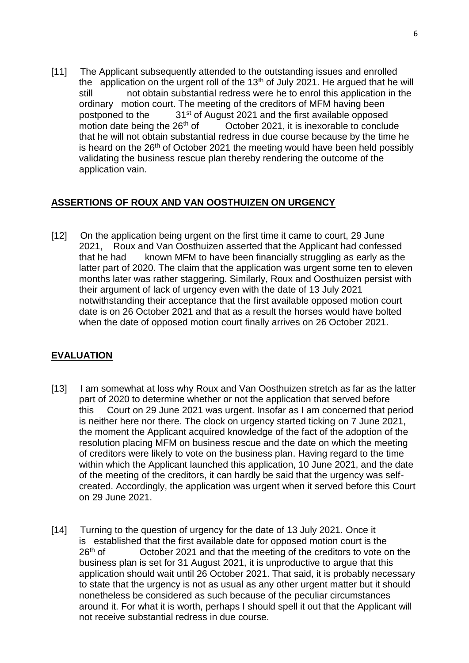[11] The Applicant subsequently attended to the outstanding issues and enrolled the application on the urgent roll of the  $13<sup>th</sup>$  of July 2021. He argued that he will still not obtain substantial redress were he to enrol this application in the ordinary motion court. The meeting of the creditors of MFM having been postponed to the 31<sup>st</sup> of August 2021 and the first available opposed motion date being the  $26<sup>th</sup>$  of  $\hbar$  October 2021, it is inexorable to conclude that he will not obtain substantial redress in due course because by the time he is heard on the  $26<sup>th</sup>$  of October 2021 the meeting would have been held possibly validating the business rescue plan thereby rendering the outcome of the application vain.

### **ASSERTIONS OF ROUX AND VAN OOSTHUIZEN ON URGENCY**

[12] On the application being urgent on the first time it came to court, 29 June 2021, Roux and Van Oosthuizen asserted that the Applicant had confessed that he had known MFM to have been financially struggling as early as the latter part of 2020. The claim that the application was urgent some ten to eleven months later was rather staggering. Similarly, Roux and Oosthuizen persist with their argument of lack of urgency even with the date of 13 July 2021 notwithstanding their acceptance that the first available opposed motion court date is on 26 October 2021 and that as a result the horses would have bolted when the date of opposed motion court finally arrives on 26 October 2021.

## **EVALUATION**

- [13] I am somewhat at loss why Roux and Van Oosthuizen stretch as far as the latter part of 2020 to determine whether or not the application that served before this Court on 29 June 2021 was urgent. Insofar as I am concerned that period is neither here nor there. The clock on urgency started ticking on 7 June 2021, the moment the Applicant acquired knowledge of the fact of the adoption of the resolution placing MFM on business rescue and the date on which the meeting of creditors were likely to vote on the business plan. Having regard to the time within which the Applicant launched this application, 10 June 2021, and the date of the meeting of the creditors, it can hardly be said that the urgency was selfcreated. Accordingly, the application was urgent when it served before this Court on 29 June 2021.
- [14] Turning to the question of urgency for the date of 13 July 2021. Once it is established that the first available date for opposed motion court is the  $26<sup>th</sup>$  of Cricober 2021 and that the meeting of the creditors to vote of October 2021 and that the meeting of the creditors to vote on the business plan is set for 31 August 2021, it is unproductive to argue that this application should wait until 26 October 2021. That said, it is probably necessary to state that the urgency is not as usual as any other urgent matter but it should nonetheless be considered as such because of the peculiar circumstances around it. For what it is worth, perhaps I should spell it out that the Applicant will not receive substantial redress in due course.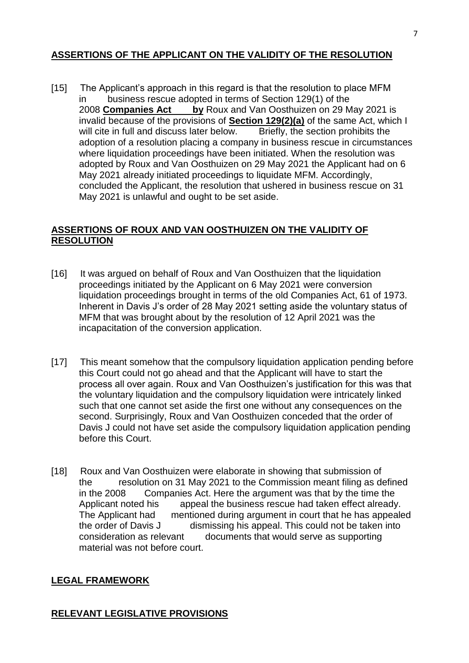### **ASSERTIONS OF THE APPLICANT ON THE VALIDITY OF THE RESOLUTION**

[15] The Applicant's approach in this regard is that the resolution to place MFM in business rescue adopted in terms of Section 129(1) of the 2008 **[Companies Act by](http://www.saflii.org/za/legis/consol_act/ca2008107/)** Roux and Van Oosthuizen on 29 May 2021 is invalid because of the provisions of **[Section 129\(2\)\(a\)](http://www.saflii.org/za/legis/consol_act/ca2008107/index.html#s129)** of the same Act, which I will cite in full and discuss later below. adoption of a resolution placing a company in business rescue in circumstances where liquidation proceedings have been initiated. When the resolution was adopted by Roux and Van Oosthuizen on 29 May 2021 the Applicant had on 6 May 2021 already initiated proceedings to liquidate MFM. Accordingly, concluded the Applicant, the resolution that ushered in business rescue on 31 May 2021 is unlawful and ought to be set aside.

#### **ASSERTIONS OF ROUX AND VAN OOSTHUIZEN ON THE VALIDITY OF RESOLUTION**

- [16] It was argued on behalf of Roux and Van Oosthuizen that the liquidation proceedings initiated by the Applicant on 6 May 2021 were conversion liquidation proceedings brought in terms of the old Companies Act, 61 of 1973. Inherent in Davis J's order of 28 May 2021 setting aside the voluntary status of MFM that was brought about by the resolution of 12 April 2021 was the incapacitation of the conversion application.
- [17] This meant somehow that the compulsory liquidation application pending before this Court could not go ahead and that the Applicant will have to start the process all over again. Roux and Van Oosthuizen's justification for this was that the voluntary liquidation and the compulsory liquidation were intricately linked such that one cannot set aside the first one without any consequences on the second. Surprisingly, Roux and Van Oosthuizen conceded that the order of Davis J could not have set aside the compulsory liquidation application pending before this Court.
- [18] Roux and Van Oosthuizen were elaborate in showing that submission of the resolution on 31 May 2021 to the Commission meant filing as defined in the 2008 Companies Act. Here the argument was that by the time the Applicant noted his appeal the business rescue had taken effect already. The Applicant had mentioned during argument in court that he has appealed the order of Davis J dismissing his appeal. This could not be taken into consideration as relevant documents that would serve as supporting material was not before court.

#### **LEGAL FRAMEWORK**

### **RELEVANT LEGISLATIVE PROVISIONS**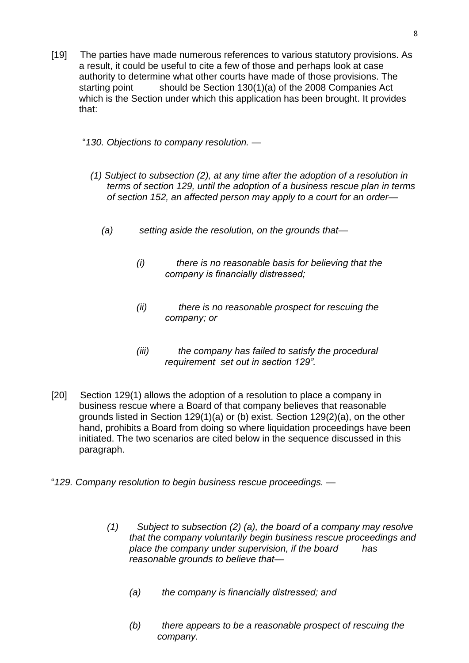- [19] The parties have made numerous references to various statutory provisions. As a result, it could be useful to cite a few of those and perhaps look at case authority to determine what other courts have made of those provisions. The starting point should be Section 130(1)(a) of the 2008 Companies Act which is the Section under which this application has been brought. It provides that:
	- "*130. Objections to company resolution. —*
		- *(1) Subject to subsection (2), at any time after the adoption of a resolution in terms of section 129, until the adoption of a business rescue plan in terms of section 152, an affected person may apply to a court for an order—*
			- *(a) setting aside the resolution, on the grounds that—*
				- *(i) there is no reasonable basis for believing that the company is financially distressed;*
				- *(ii) there is no reasonable prospect for rescuing the company; or*
				- *(iii) the company has failed to satisfy the procedural requirement set out in section 129".*
- [20] Section 129(1) allows the adoption of a resolution to place a company in business rescue where a Board of that company believes that reasonable grounds listed in Section 129(1)(a) or (b) exist. Section 129(2)(a), on the other hand, prohibits a Board from doing so where liquidation proceedings have been initiated. The two scenarios are cited below in the sequence discussed in this paragraph.
- "*129. Company resolution to begin business rescue proceedings.*
	- *(1) Subject to subsection (2) (a), the board of a company may resolve that the company voluntarily begin business rescue proceedings and place the company under supervision, if the board has reasonable grounds to believe that—*
		- *(a) the company is financially distressed; and*
		- *(b) there appears to be a reasonable prospect of rescuing the company.*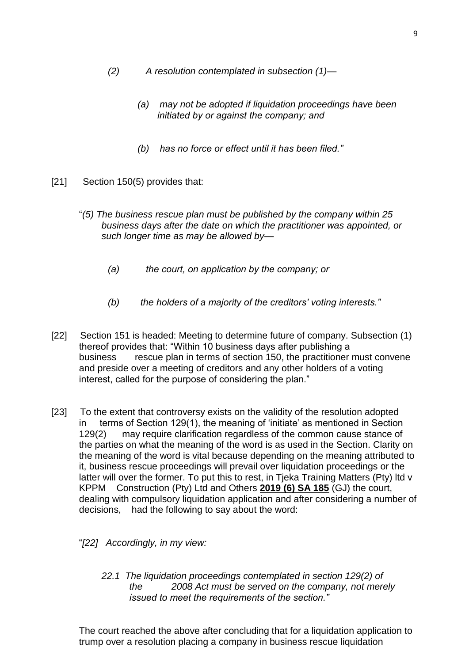- *(2) A resolution contemplated in subsection (1)—*
	- *(a) may not be adopted if liquidation proceedings have been initiated by or against the company; and*
	- *(b) has no force or effect until it has been filed."*
- [21] Section 150(5) provides that:
	- "*(5) The business rescue plan must be published by the company within 25 business days after the date on which the practitioner was appointed, or such longer time as may be allowed by—*
		- *(a) the court, on application by the company; or*
		- *(b) the holders of a majority of the creditors' voting interests."*
- [22] Section 151 is headed: Meeting to determine future of company. Subsection (1) thereof provides that: "Within 10 business days after publishing a business rescue plan in terms of section 150, the practitioner must convene and preside over a meeting of creditors and any other holders of a voting interest, called for the purpose of considering the plan."
- [23] To the extent that controversy exists on the validity of the resolution adopted in terms of Section 129(1), the meaning of 'initiate' as mentioned in Section 129(2) may require clarification regardless of the common cause stance of the parties on what the meaning of the word is as used in the Section. Clarity on the meaning of the word is vital because depending on the meaning attributed to it, business rescue proceedings will prevail over liquidation proceedings or the latter will over the former. To put this to rest, in Tjeka Training Matters (Pty) ltd v KPPM Construction (Pty) Ltd and Others **[2019 \(6\) SA 185](http://www.saflii.org/cgi-bin/LawCite?cit=2019%20%286%29%20SA%20185)** (GJ) the court, dealing with compulsory liquidation application and after considering a number of decisions, had the following to say about the word:

"*[22] Accordingly, in my view:*

*22.1 The liquidation proceedings contemplated in section 129(2) of the 2008 Act must be served on the company, not merely issued to meet the requirements of the section."*

The court reached the above after concluding that for a liquidation application to trump over a resolution placing a company in business rescue liquidation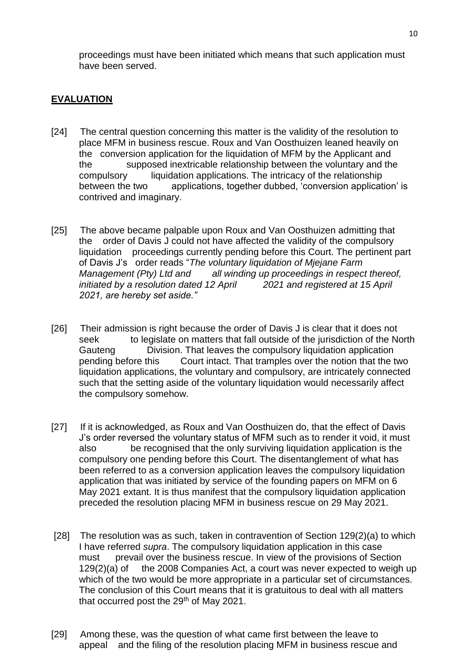proceedings must have been initiated which means that such application must have been served.

### **EVALUATION**

- [24] The central question concerning this matter is the validity of the resolution to place MFM in business rescue. Roux and Van Oosthuizen leaned heavily on the conversion application for the liquidation of MFM by the Applicant and the supposed inextricable relationship between the voluntary and the compulsory liquidation applications. The intricacy of the relationship between the two applications, together dubbed, 'conversion application' is contrived and imaginary.
- [25] The above became palpable upon Roux and Van Oosthuizen admitting that the order of Davis J could not have affected the validity of the compulsory liquidation proceedings currently pending before this Court. The pertinent part of Davis J's order reads "*The voluntary liquidation of Mjejane Farm*  all winding up proceedings in respect thereof, *initiated by a resolution dated 12 April 2021 and registered at 15 April 2021, are hereby set aside."*
- [26] Their admission is right because the order of Davis J is clear that it does not seek to legislate on matters that fall outside of the jurisdiction of the North Gauteng Division. That leaves the compulsory liquidation application pending before this Court intact. That tramples over the notion that the two liquidation applications, the voluntary and compulsory, are intricately connected such that the setting aside of the voluntary liquidation would necessarily affect the compulsory somehow.
- [27] If it is acknowledged, as Roux and Van Oosthuizen do, that the effect of Davis J's order reversed the voluntary status of MFM such as to render it void, it must also be recognised that the only surviving liquidation application is the compulsory one pending before this Court. The disentanglement of what has been referred to as a conversion application leaves the compulsory liquidation application that was initiated by service of the founding papers on MFM on 6 May 2021 extant. It is thus manifest that the compulsory liquidation application preceded the resolution placing MFM in business rescue on 29 May 2021.
- [28] The resolution was as such, taken in contravention of Section 129(2)(a) to which I have referred *supra*. The compulsory liquidation application in this case must prevail over the business rescue. In view of the provisions of Section 129(2)(a) of the 2008 Companies Act, a court was never expected to weigh up which of the two would be more appropriate in a particular set of circumstances. The conclusion of this Court means that it is gratuitous to deal with all matters that occurred post the 29<sup>th</sup> of May 2021.
- [29] Among these, was the question of what came first between the leave to appeal and the filing of the resolution placing MFM in business rescue and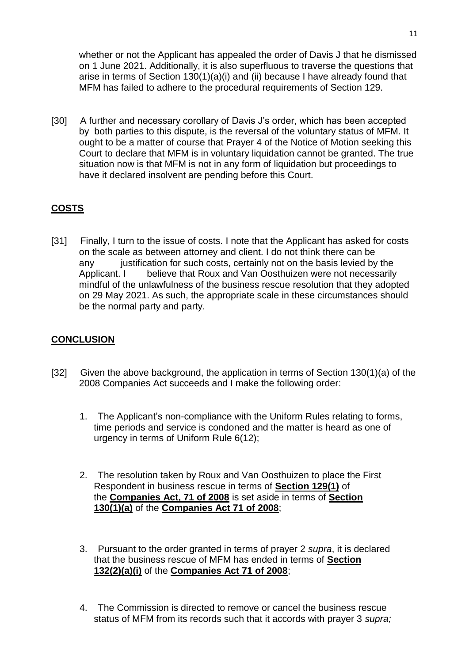whether or not the Applicant has appealed the order of Davis J that he dismissed on 1 June 2021. Additionally, it is also superfluous to traverse the questions that arise in terms of Section 130(1)(a)(i) and (ii) because I have already found that MFM has failed to adhere to the procedural requirements of Section 129.

[30] A further and necessary corollary of Davis J's order, which has been accepted by both parties to this dispute, is the reversal of the voluntary status of MFM. It ought to be a matter of course that Prayer 4 of the Notice of Motion seeking this Court to declare that MFM is in voluntary liquidation cannot be granted. The true situation now is that MFM is not in any form of liquidation but proceedings to have it declared insolvent are pending before this Court.

## **COSTS**

[31] Finally, I turn to the issue of costs. I note that the Applicant has asked for costs on the scale as between attorney and client. I do not think there can be any justification for such costs, certainly not on the basis levied by the Applicant. I believe that Roux and Van Oosthuizen were not necessarily mindful of the unlawfulness of the business rescue resolution that they adopted on 29 May 2021. As such, the appropriate scale in these circumstances should be the normal party and party.

### **CONCLUSION**

- [32] Given the above background, the application in terms of Section 130(1)(a) of the 2008 Companies Act succeeds and I make the following order:
	- 1. The Applicant's non-compliance with the Uniform Rules relating to forms, time periods and service is condoned and the matter is heard as one of urgency in terms of Uniform Rule 6(12);
	- 2. The resolution taken by Roux and Van Oosthuizen to place the First Respondent in business rescue in terms of **[Section 129\(1\)](http://www.saflii.org/za/legis/consol_act/ca2008107/index.html#s129)** of the **[Companies Act, 71 of 2008](http://www.saflii.org/za/legis/consol_act/ca2008107/)** is set aside in terms of **[Section](http://www.saflii.org/za/legis/consol_act/ca2008107/index.html#s130)  [130\(1\)\(a\)](http://www.saflii.org/za/legis/consol_act/ca2008107/index.html#s130)** of the **[Companies Act 71 of](http://www.saflii.org/za/legis/consol_act/ca2008107/) [2008](http://www.saflii.org/za/legis/consol_act/ca2008107/)**;
	- 3. Pursuant to the order granted in terms of prayer 2 *supra*, it is declared that the business rescue of MFM has ended in terms of **[Section](http://www.saflii.org/za/legis/consol_act/ca2008107/index.html#s132)  [132\(2\)\(a\)\(i\)](http://www.saflii.org/za/legis/consol_act/ca2008107/index.html#s132)** of the **[Companies Act 71 of 2008](http://www.saflii.org/za/legis/consol_act/ca2008107/)**;
	- 4. The Commission is directed to remove or cancel the business rescue status of MFM from its records such that it accords with prayer 3 *supra;*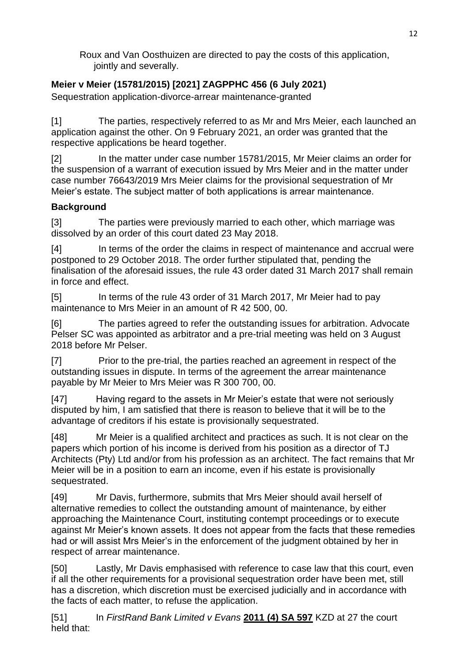Roux and Van Oosthuizen are directed to pay the costs of this application, jointly and severally.

# **Meier v Meier (15781/2015) [2021] ZAGPPHC 456 (6 July 2021)**

Sequestration application-divorce-arrear maintenance-granted

[1] The parties, respectively referred to as Mr and Mrs Meier, each launched an application against the other. On 9 February 2021, an order was granted that the respective applications be heard together.

[2] In the matter under case number 15781/2015, Mr Meier claims an order for the suspension of a warrant of execution issued by Mrs Meier and in the matter under case number 76643/2019 Mrs Meier claims for the provisional sequestration of Mr Meier's estate. The subject matter of both applications is arrear maintenance.

## **Background**

[3] The parties were previously married to each other, which marriage was dissolved by an order of this court dated 23 May 2018.

[4] In terms of the order the claims in respect of maintenance and accrual were postponed to 29 October 2018. The order further stipulated that, pending the finalisation of the aforesaid issues, the rule 43 order dated 31 March 2017 shall remain in force and effect.

[5] In terms of the rule 43 order of 31 March 2017, Mr Meier had to pay maintenance to Mrs Meier in an amount of R 42 500, 00.

[6] The parties agreed to refer the outstanding issues for arbitration. Advocate Pelser SC was appointed as arbitrator and a pre-trial meeting was held on 3 August 2018 before Mr Pelser.

[7] Prior to the pre-trial, the parties reached an agreement in respect of the outstanding issues in dispute. In terms of the agreement the arrear maintenance payable by Mr Meier to Mrs Meier was R 300 700, 00.

[47] Having regard to the assets in Mr Meier's estate that were not seriously disputed by him, I am satisfied that there is reason to believe that it will be to the advantage of creditors if his estate is provisionally sequestrated.

[48] Mr Meier is a qualified architect and practices as such. It is not clear on the papers which portion of his income is derived from his position as a director of TJ Architects (Pty) Ltd and/or from his profession as an architect. The fact remains that Mr Meier will be in a position to earn an income, even if his estate is provisionally sequestrated.

[49] Mr Davis, furthermore, submits that Mrs Meier should avail herself of alternative remedies to collect the outstanding amount of maintenance, by either approaching the Maintenance Court, instituting contempt proceedings or to execute against Mr Meier's known assets. It does not appear from the facts that these remedies had or will assist Mrs Meier's in the enforcement of the judgment obtained by her in respect of arrear maintenance.

[50] Lastly, Mr Davis emphasised with reference to case law that this court, even if all the other requirements for a provisional sequestration order have been met, still has a discretion, which discretion must be exercised judicially and in accordance with the facts of each matter, to refuse the application.

[51] In *FirstRand Bank Limited v Evans* **[2011 \(4\) SA 597](http://www.saflii.org/cgi-bin/LawCite?cit=2011%20%284%29%20SA%20597)** KZD at 27 the court held that: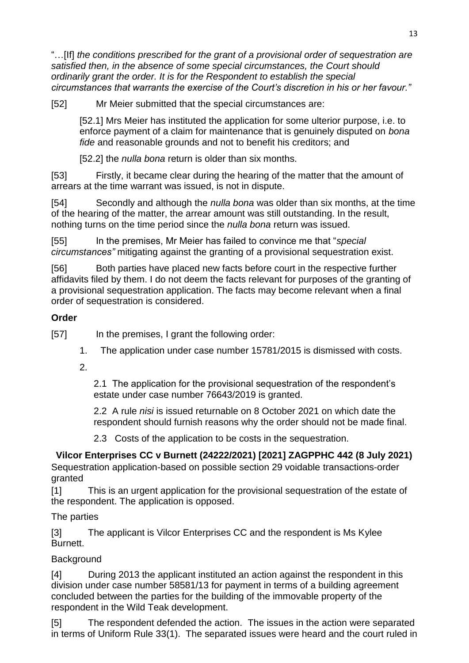"…[If] *the conditions prescribed for the grant of a provisional order of sequestration are satisfied then, in the absence of some special circumstances, the Court should ordinarily grant the order. It is for the Respondent to establish the special circumstances that warrants the exercise of the Court's discretion in his or her favour."*

[52] Mr Meier submitted that the special circumstances are:

[52.1] Mrs Meier has instituted the application for some ulterior purpose, i.e. to enforce payment of a claim for maintenance that is genuinely disputed on *bona fide* and reasonable grounds and not to benefit his creditors; and

[52.2] the *nulla bona* return is older than six months.

[53] Firstly, it became clear during the hearing of the matter that the amount of arrears at the time warrant was issued, is not in dispute.

[54] Secondly and although the *nulla bona* was older than six months, at the time of the hearing of the matter, the arrear amount was still outstanding. In the result, nothing turns on the time period since the *nulla bona* return was issued.

[55] In the premises, Mr Meier has failed to convince me that "*special circumstances"* mitigating against the granting of a provisional sequestration exist.

[56] Both parties have placed new facts before court in the respective further affidavits filed by them. I do not deem the facts relevant for purposes of the granting of a provisional sequestration application. The facts may become relevant when a final order of sequestration is considered.

## **Order**

[57] In the premises, I grant the following order:

- 1. The application under case number 15781/2015 is dismissed with costs.
- 2.

2.1 The application for the provisional sequestration of the respondent's estate under case number 76643/2019 is granted.

2.2 A rule *nisi* is issued returnable on 8 October 2021 on which date the respondent should furnish reasons why the order should not be made final.

2.3 Costs of the application to be costs in the sequestration.

**Vilcor Enterprises CC v Burnett (24222/2021) [2021] ZAGPPHC 442 (8 July 2021)**

Sequestration application-based on possible section 29 voidable transactions-order granted

[1] This is an urgent application for the provisional sequestration of the estate of the respondent. The application is opposed.

The parties

[3] The applicant is Vilcor Enterprises CC and the respondent is Ms Kylee Burnett.

## **Background**

[4] During 2013 the applicant instituted an action against the respondent in this division under case number 58581/13 for payment in terms of a building agreement concluded between the parties for the building of the immovable property of the respondent in the Wild Teak development.

[5] The respondent defended the action. The issues in the action were separated in terms of Uniform Rule 33(1). The separated issues were heard and the court ruled in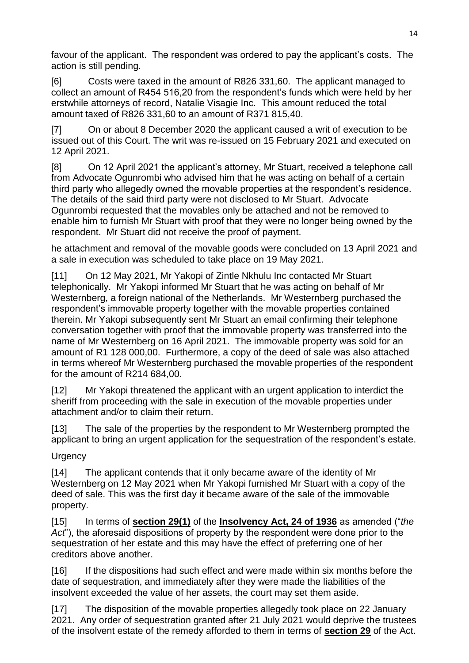favour of the applicant. The respondent was ordered to pay the applicant's costs. The action is still pending.

[6] Costs were taxed in the amount of R826 331,60. The applicant managed to collect an amount of R454 516,20 from the respondent's funds which were held by her erstwhile attorneys of record, Natalie Visagie Inc. This amount reduced the total amount taxed of R826 331,60 to an amount of R371 815,40.

[7] On or about 8 December 2020 the applicant caused a writ of execution to be issued out of this Court. The writ was re-issued on 15 February 2021 and executed on 12 April 2021.

[8] On 12 April 2021 the applicant's attorney, Mr Stuart, received a telephone call from Advocate Ogunrombi who advised him that he was acting on behalf of a certain third party who allegedly owned the movable properties at the respondent's residence. The details of the said third party were not disclosed to Mr Stuart. Advocate Ogunrombi requested that the movables only be attached and not be removed to enable him to furnish Mr Stuart with proof that they were no longer being owned by the respondent. Mr Stuart did not receive the proof of payment.

he attachment and removal of the movable goods were concluded on 13 April 2021 and a sale in execution was scheduled to take place on 19 May 2021.

[11] On 12 May 2021, Mr Yakopi of Zintle Nkhulu Inc contacted Mr Stuart telephonically. Mr Yakopi informed Mr Stuart that he was acting on behalf of Mr Westernberg, a foreign national of the Netherlands. Mr Westernberg purchased the respondent's immovable property together with the movable properties contained therein. Mr Yakopi subsequently sent Mr Stuart an email confirming their telephone conversation together with proof that the immovable property was transferred into the name of Mr Westernberg on 16 April 2021. The immovable property was sold for an amount of R1 128 000,00. Furthermore, a copy of the deed of sale was also attached in terms whereof Mr Westernberg purchased the movable properties of the respondent for the amount of R214 684,00.

[12] Mr Yakopi threatened the applicant with an urgent application to interdict the sheriff from proceeding with the sale in execution of the movable properties under attachment and/or to claim their return.

[13] The sale of the properties by the respondent to Mr Westernberg prompted the applicant to bring an urgent application for the sequestration of the respondent's estate.

## **Urgency**

[14] The applicant contends that it only became aware of the identity of Mr Westernberg on 12 May 2021 when Mr Yakopi furnished Mr Stuart with a copy of the deed of sale. This was the first day it became aware of the sale of the immovable property.

[15] In terms of **[section 29\(1\)](http://www.saflii.org/za/legis/consol_act/ia1936149/index.html#s29)** of the **[Insolvency Act, 24 of 1936](http://www.saflii.org/za/legis/consol_act/ia1936149/)** as amended ("*the Act*"), the aforesaid dispositions of property by the respondent were done prior to the sequestration of her estate and this may have the effect of preferring one of her creditors above another.

[16] If the dispositions had such effect and were made within six months before the date of sequestration, and immediately after they were made the liabilities of the insolvent exceeded the value of her assets, the court may set them aside.

[17] The disposition of the movable properties allegedly took place on 22 January 2021. Any order of sequestration granted after 21 July 2021 would deprive the trustees of the insolvent estate of the remedy afforded to them in terms of **[section 29](http://www.saflii.org/za/legis/consol_act/ia1936149/index.html#s29)** of the Act.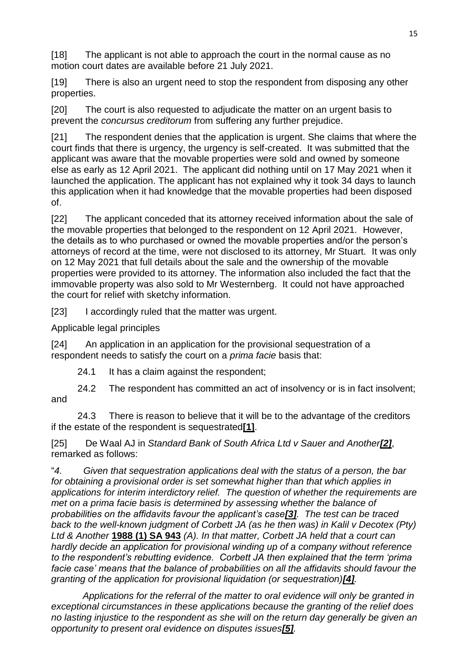[18] The applicant is not able to approach the court in the normal cause as no motion court dates are available before 21 July 2021.

[19] There is also an urgent need to stop the respondent from disposing any other properties.

[20] The court is also requested to adjudicate the matter on an urgent basis to prevent the *concursus creditorum* from suffering any further prejudice.

[21] The respondent denies that the application is urgent. She claims that where the court finds that there is urgency, the urgency is self-created. It was submitted that the applicant was aware that the movable properties were sold and owned by someone else as early as 12 April 2021. The applicant did nothing until on 17 May 2021 when it launched the application. The applicant has not explained why it took 34 days to launch this application when it had knowledge that the movable properties had been disposed of.

[22] The applicant conceded that its attorney received information about the sale of the movable properties that belonged to the respondent on 12 April 2021. However, the details as to who purchased or owned the movable properties and/or the person's attorneys of record at the time, were not disclosed to its attorney, Mr Stuart. It was only on 12 May 2021 that full details about the sale and the ownership of the movable properties were provided to its attorney. The information also included the fact that the immovable property was also sold to Mr Westernberg. It could not have approached the court for relief with sketchy information.

[23] I accordingly ruled that the matter was urgent.

Applicable legal principles

[24] An application in an application for the provisional sequestration of a respondent needs to satisfy the court on a *prima facie* basis that:

24.1 It has a claim against the respondent;

 24.2 The respondent has committed an act of insolvency or is in fact insolvent; and

 24.3 There is reason to believe that it will be to the advantage of the creditors if the estate of the respondent is sequestrated**[\[1\]](http://www.saflii.org/za/cases/ZAGPPHC/2021/442.html#_ftn1)**.

[25] De Waal AJ in *Standard Bank of South Africa Ltd v Sauer and Another[\[2\]](http://www.saflii.org/za/cases/ZAGPPHC/2021/442.html#_ftn2)*, remarked as follows:

"*4. Given that sequestration applications deal with the status of a person, the bar for obtaining a provisional order is set somewhat higher than that which applies in applications for interim interdictory relief. The question of whether the requirements are met on a prima facie basis is determined by assessing whether the balance of probabilities on the affidavits favour the applicant's case[\[3\]](http://www.saflii.org/za/cases/ZAGPPHC/2021/442.html#_ftn3). The test can be traced back to the well-known judgment of Corbett JA (as he then was) in Kalil v Decotex (Pty) Ltd & Another* **[1988 \(1\) SA 943](http://www.saflii.org/cgi-bin/LawCite?cit=1988%20%281%29%20SA%20943)** *(A). In that matter, Corbett JA held that a court can hardly decide an application for provisional winding up of a company without reference to the respondent's rebutting evidence. Corbett JA then explained that the term 'prima*  facie case' means that the balance of probabilities on all the affidavits should favour the *granting of the application for provisional liquidation (or sequestration)[\[4\]](http://www.saflii.org/za/cases/ZAGPPHC/2021/442.html#_ftn4).*

 *Applications for the referral of the matter to oral evidence will only be granted in exceptional circumstances in these applications because the granting of the relief does no lasting injustice to the respondent as she will on the return day generally be given an opportunity to present oral evidence on disputes issues[\[5\]](http://www.saflii.org/za/cases/ZAGPPHC/2021/442.html#_ftn5).*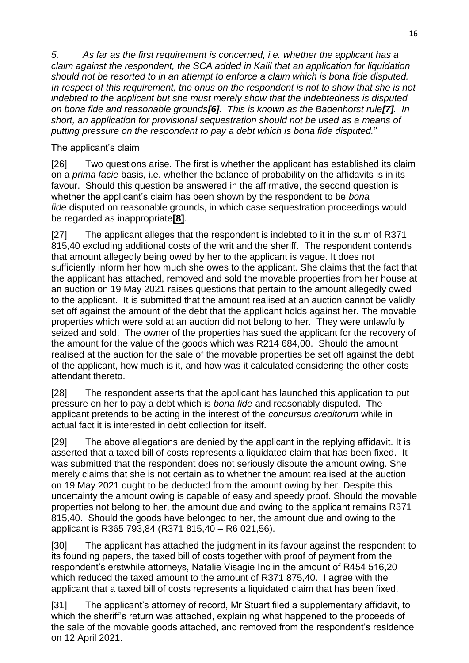*5. As far as the first requirement is concerned, i.e. whether the applicant has a claim against the respondent, the SCA added in Kalil that an application for liquidation should not be resorted to in an attempt to enforce a claim which is bona fide disputed. In respect of this requirement, the onus on the respondent is not to show that she is not indebted to the applicant but she must merely show that the indebtedness is disputed on bona fide and reasonable grounds[\[6\]](http://www.saflii.org/za/cases/ZAGPPHC/2021/442.html#_ftn6). This is known as the Badenhorst rule[\[7\]](http://www.saflii.org/za/cases/ZAGPPHC/2021/442.html#_ftn7). In short, an application for provisional sequestration should not be used as a means of putting pressure on the respondent to pay a debt which is bona fide disputed.*"

### The applicant's claim

[26] Two questions arise. The first is whether the applicant has established its claim on a *prima facie* basis, i.e. whether the balance of probability on the affidavits is in its favour. Should this question be answered in the affirmative, the second question is whether the applicant's claim has been shown by the respondent to be *bona fide* disputed on reasonable grounds, in which case sequestration proceedings would be regarded as inappropriate**[\[8\]](http://www.saflii.org/za/cases/ZAGPPHC/2021/442.html#_ftn8)**.

[27] The applicant alleges that the respondent is indebted to it in the sum of R371 815,40 excluding additional costs of the writ and the sheriff. The respondent contends that amount allegedly being owed by her to the applicant is vague. It does not sufficiently inform her how much she owes to the applicant. She claims that the fact that the applicant has attached, removed and sold the movable properties from her house at an auction on 19 May 2021 raises questions that pertain to the amount allegedly owed to the applicant. It is submitted that the amount realised at an auction cannot be validly set off against the amount of the debt that the applicant holds against her. The movable properties which were sold at an auction did not belong to her. They were unlawfully seized and sold. The owner of the properties has sued the applicant for the recovery of the amount for the value of the goods which was R214 684,00. Should the amount realised at the auction for the sale of the movable properties be set off against the debt of the applicant, how much is it, and how was it calculated considering the other costs attendant thereto.

[28] The respondent asserts that the applicant has launched this application to put pressure on her to pay a debt which is *bona fide* and reasonably disputed. The applicant pretends to be acting in the interest of the *concursus creditorum* while in actual fact it is interested in debt collection for itself.

[29] The above allegations are denied by the applicant in the replying affidavit. It is asserted that a taxed bill of costs represents a liquidated claim that has been fixed. It was submitted that the respondent does not seriously dispute the amount owing. She merely claims that she is not certain as to whether the amount realised at the auction on 19 May 2021 ought to be deducted from the amount owing by her. Despite this uncertainty the amount owing is capable of easy and speedy proof. Should the movable properties not belong to her, the amount due and owing to the applicant remains R371 815,40. Should the goods have belonged to her, the amount due and owing to the applicant is R365 793,84 (R371 815,40 – R6 021,56).

[30] The applicant has attached the judgment in its favour against the respondent to its founding papers, the taxed bill of costs together with proof of payment from the respondent's erstwhile attorneys, Natalie Visagie Inc in the amount of R454 516,20 which reduced the taxed amount to the amount of R371 875,40. I agree with the applicant that a taxed bill of costs represents a liquidated claim that has been fixed.

[31] The applicant's attorney of record, Mr Stuart filed a supplementary affidavit, to which the sheriff's return was attached, explaining what happened to the proceeds of the sale of the movable goods attached, and removed from the respondent's residence on 12 April 2021.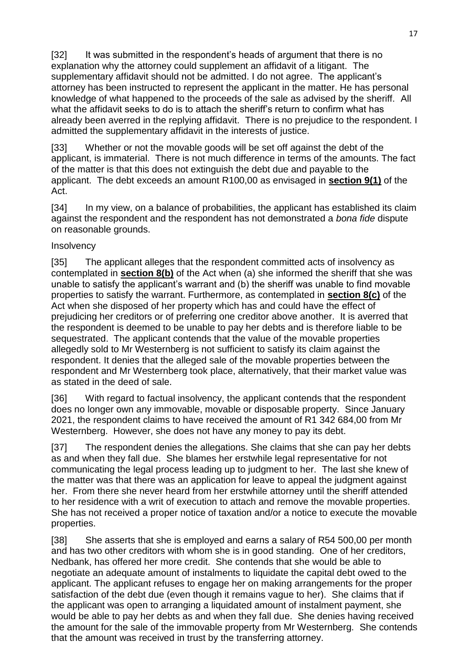[32] It was submitted in the respondent's heads of argument that there is no explanation why the attorney could supplement an affidavit of a litigant. The supplementary affidavit should not be admitted. I do not agree. The applicant's attorney has been instructed to represent the applicant in the matter. He has personal knowledge of what happened to the proceeds of the sale as advised by the sheriff. All what the affidavit seeks to do is to attach the sheriff's return to confirm what has already been averred in the replying affidavit. There is no prejudice to the respondent. I admitted the supplementary affidavit in the interests of justice.

[33] Whether or not the movable goods will be set off against the debt of the applicant, is immaterial. There is not much difference in terms of the amounts. The fact of the matter is that this does not extinguish the debt due and payable to the applicant. The debt exceeds an amount R100,00 as envisaged in **[section 9\(1\)](http://www.saflii.org/za/legis/consol_act/ia1936149/index.html#s9)** of the Act.

[34] In my view, on a balance of probabilities, the applicant has established its claim against the respondent and the respondent has not demonstrated a *bona fide* dispute on reasonable grounds.

#### **Insolvency**

[35] The applicant alleges that the respondent committed acts of insolvency as contemplated in **[section 8\(b\)](http://www.saflii.org/za/legis/consol_act/ia1936149/index.html#s8)** of the Act when (a) she informed the sheriff that she was unable to satisfy the applicant's warrant and (b) the sheriff was unable to find movable properties to satisfy the warrant. Furthermore, as contemplated in **[section 8\(c\)](http://www.saflii.org/za/legis/consol_act/ia1936149/index.html#s8)** of the Act when she disposed of her property which has and could have the effect of prejudicing her creditors or of preferring one creditor above another. It is averred that the respondent is deemed to be unable to pay her debts and is therefore liable to be sequestrated. The applicant contends that the value of the movable properties allegedly sold to Mr Westernberg is not sufficient to satisfy its claim against the respondent. It denies that the alleged sale of the movable properties between the respondent and Mr Westernberg took place, alternatively, that their market value was as stated in the deed of sale.

[36] With regard to factual insolvency, the applicant contends that the respondent does no longer own any immovable, movable or disposable property. Since January 2021, the respondent claims to have received the amount of R1 342 684,00 from Mr Westernberg. However, she does not have any money to pay its debt.

[37] The respondent denies the allegations. She claims that she can pay her debts as and when they fall due. She blames her erstwhile legal representative for not communicating the legal process leading up to judgment to her. The last she knew of the matter was that there was an application for leave to appeal the judgment against her. From there she never heard from her erstwhile attorney until the sheriff attended to her residence with a writ of execution to attach and remove the movable properties. She has not received a proper notice of taxation and/or a notice to execute the movable properties.

[38] She asserts that she is employed and earns a salary of R54 500,00 per month and has two other creditors with whom she is in good standing. One of her creditors, Nedbank, has offered her more credit. She contends that she would be able to negotiate an adequate amount of instalments to liquidate the capital debt owed to the applicant. The applicant refuses to engage her on making arrangements for the proper satisfaction of the debt due (even though it remains vague to her). She claims that if the applicant was open to arranging a liquidated amount of instalment payment, she would be able to pay her debts as and when they fall due. She denies having received the amount for the sale of the immovable property from Mr Westernberg. She contends that the amount was received in trust by the transferring attorney.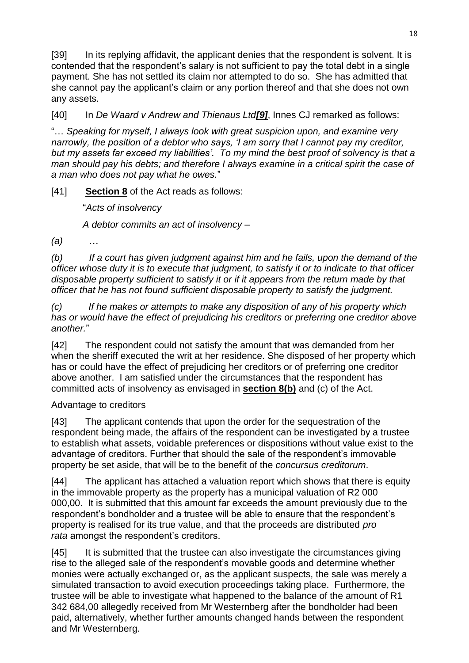[39] In its replying affidavit, the applicant denies that the respondent is solvent. It is contended that the respondent's salary is not sufficient to pay the total debt in a single payment. She has not settled its claim nor attempted to do so. She has admitted that she cannot pay the applicant's claim or any portion thereof and that she does not own any assets.

[40] In *De Waard v Andrew and Thienaus Ltd[\[9\]](http://www.saflii.org/za/cases/ZAGPPHC/2021/442.html#_ftn9)*, Innes CJ remarked as follows:

"… *Speaking for myself, I always look with great suspicion upon, and examine very narrowly, the position of a debtor who says, 'I am sorry that I cannot pay my creditor, but my assets far exceed my liabilities'. To my mind the best proof of solvency is that a man should pay his debts; and therefore I always examine in a critical spirit the case of a man who does not pay what he owes.*"

[41] **[Section 8](http://www.saflii.org/za/legis/consol_act/ia1936149/index.html#s8)** of the Act reads as follows:

"*Acts of insolvency*

*A debtor commits an act of insolvency –*

*(a)* …

*(b) If a court has given judgment against him and he fails, upon the demand of the officer whose duty it is to execute that judgment, to satisfy it or to indicate to that officer disposable property sufficient to satisfy it or if it appears from the return made by that officer that he has not found sufficient disposable property to satisfy the judgment.*

*(c) If he makes or attempts to make any disposition of any of his property which has or would have the effect of prejudicing his creditors or preferring one creditor above another.*"

[42] The respondent could not satisfy the amount that was demanded from her when the sheriff executed the writ at her residence. She disposed of her property which has or could have the effect of prejudicing her creditors or of preferring one creditor above another. I am satisfied under the circumstances that the respondent has committed acts of insolvency as envisaged in **[section 8\(b\)](http://www.saflii.org/za/legis/consol_act/ia1936149/index.html#s8)** and (c) of the Act.

Advantage to creditors

[43] The applicant contends that upon the order for the sequestration of the respondent being made, the affairs of the respondent can be investigated by a trustee to establish what assets, voidable preferences or dispositions without value exist to the advantage of creditors. Further that should the sale of the respondent's immovable property be set aside, that will be to the benefit of the *concursus creditorum*.

[44] The applicant has attached a valuation report which shows that there is equity in the immovable property as the property has a municipal valuation of R2 000 000,00. It is submitted that this amount far exceeds the amount previously due to the respondent's bondholder and a trustee will be able to ensure that the respondent's property is realised for its true value, and that the proceeds are distributed *pro rata* amongst the respondent's creditors.

[45] It is submitted that the trustee can also investigate the circumstances giving rise to the alleged sale of the respondent's movable goods and determine whether monies were actually exchanged or, as the applicant suspects, the sale was merely a simulated transaction to avoid execution proceedings taking place. Furthermore, the trustee will be able to investigate what happened to the balance of the amount of R1 342 684,00 allegedly received from Mr Westernberg after the bondholder had been paid, alternatively, whether further amounts changed hands between the respondent and Mr Westernberg.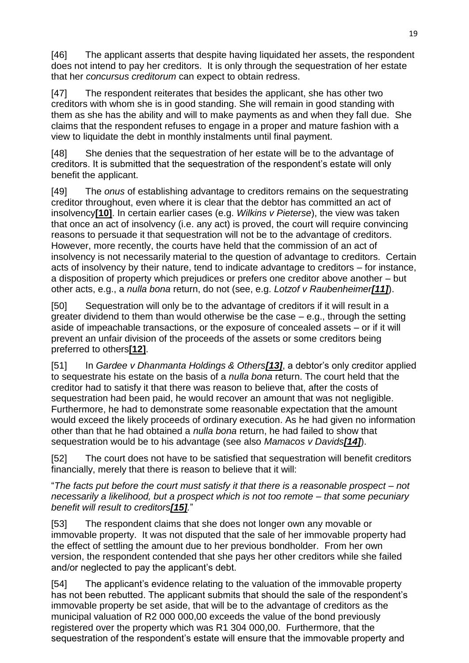[46] The applicant asserts that despite having liquidated her assets, the respondent does not intend to pay her creditors. It is only through the sequestration of her estate that her *concursus creditorum* can expect to obtain redress.

[47] The respondent reiterates that besides the applicant, she has other two creditors with whom she is in good standing. She will remain in good standing with them as she has the ability and will to make payments as and when they fall due. She claims that the respondent refuses to engage in a proper and mature fashion with a view to liquidate the debt in monthly instalments until final payment.

[48] She denies that the sequestration of her estate will be to the advantage of creditors. It is submitted that the sequestration of the respondent's estate will only benefit the applicant.

[49] The *onus* of establishing advantage to creditors remains on the sequestrating creditor throughout, even where it is clear that the debtor has committed an act of insolvency**[\[10\]](http://www.saflii.org/za/cases/ZAGPPHC/2021/442.html#_ftn10)**. In certain earlier cases (e.g. *Wilkins v Pieterse*), the view was taken that once an act of insolvency (i.e. any act) is proved, the court will require convincing reasons to persuade it that sequestration will not be to the advantage of creditors. However, more recently, the courts have held that the commission of an act of insolvency is not necessarily material to the question of advantage to creditors. Certain acts of insolvency by their nature, tend to indicate advantage to creditors – for instance, a disposition of property which prejudices or prefers one creditor above another – but other acts, e.g., a *nulla bona* return, do not (see, e.g. *Lotzof v Raubenheimer[\[11\]](http://www.saflii.org/za/cases/ZAGPPHC/2021/442.html#_ftn11)*).

[50] Sequestration will only be to the advantage of creditors if it will result in a greater dividend to them than would otherwise be the case – e.g., through the setting aside of impeachable transactions, or the exposure of concealed assets – or if it will prevent an unfair division of the proceeds of the assets or some creditors being preferred to others**[\[12\]](http://www.saflii.org/za/cases/ZAGPPHC/2021/442.html#_ftn12)**.

[51] In *Gardee v Dhanmanta Holdings & Others[\[13\]](http://www.saflii.org/za/cases/ZAGPPHC/2021/442.html#_ftn13)*, a debtor's only creditor applied to sequestrate his estate on the basis of a *nulla bona* return. The court held that the creditor had to satisfy it that there was reason to believe that, after the costs of sequestration had been paid, he would recover an amount that was not negligible. Furthermore, he had to demonstrate some reasonable expectation that the amount would exceed the likely proceeds of ordinary execution. As he had given no information other than that he had obtained a *nulla bona* return, he had failed to show that sequestration would be to his advantage (see also *Mamacos v Davids[\[14\]](http://www.saflii.org/za/cases/ZAGPPHC/2021/442.html#_ftn14)*).

[52] The court does not have to be satisfied that sequestration will benefit creditors financially, merely that there is reason to believe that it will:

"*The facts put before the court must satisfy it that there is a reasonable prospect – not necessarily a likelihood, but a prospect which is not too remote – that some pecuniary benefit will result to creditors[\[15\]](http://www.saflii.org/za/cases/ZAGPPHC/2021/442.html#_ftn15).*"

[53] The respondent claims that she does not longer own any movable or immovable property. It was not disputed that the sale of her immovable property had the effect of settling the amount due to her previous bondholder. From her own version, the respondent contended that she pays her other creditors while she failed and/or neglected to pay the applicant's debt.

[54] The applicant's evidence relating to the valuation of the immovable property has not been rebutted. The applicant submits that should the sale of the respondent's immovable property be set aside, that will be to the advantage of creditors as the municipal valuation of R2 000 000,00 exceeds the value of the bond previously registered over the property which was R1 304 000,00. Furthermore, that the sequestration of the respondent's estate will ensure that the immovable property and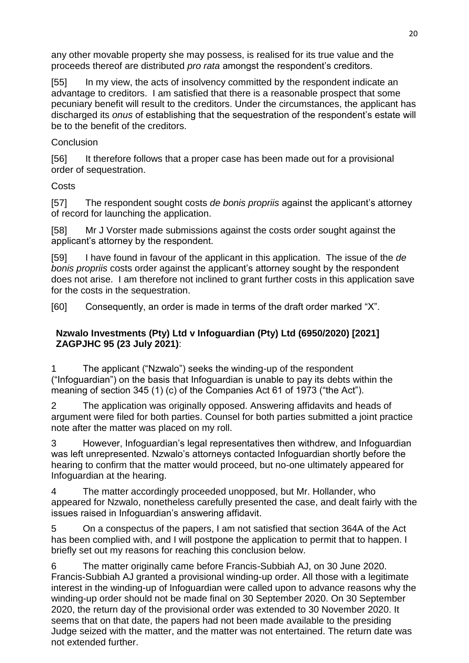any other movable property she may possess, is realised for its true value and the proceeds thereof are distributed *pro rata* amongst the respondent's creditors.

[55] In my view, the acts of insolvency committed by the respondent indicate an advantage to creditors. I am satisfied that there is a reasonable prospect that some pecuniary benefit will result to the creditors. Under the circumstances, the applicant has discharged its *onus* of establishing that the sequestration of the respondent's estate will be to the benefit of the creditors.

### **Conclusion**

[56] It therefore follows that a proper case has been made out for a provisional order of sequestration.

## **Costs**

[57] The respondent sought costs *de bonis propriis* against the applicant's attorney of record for launching the application.

[58] Mr J Vorster made submissions against the costs order sought against the applicant's attorney by the respondent.

[59] I have found in favour of the applicant in this application. The issue of the *de bonis propriis* costs order against the applicant's attorney sought by the respondent does not arise. I am therefore not inclined to grant further costs in this application save for the costs in the sequestration.

[60] Consequently, an order is made in terms of the draft order marked "X".

### **Nzwalo Investments (Pty) Ltd v Infoguardian (Pty) Ltd (6950/2020) [2021] ZAGPJHC 95 (23 July 2021)**:

The applicant ("Nzwalo") seeks the winding-up of the respondent ("Infoguardian") on the basis that Infoguardian is unable to pay its debts within the meaning of section 345 (1) (c) of the Companies Act 61 of 1973 ("the Act").

2 The application was originally opposed. Answering affidavits and heads of argument were filed for both parties. Counsel for both parties submitted a joint practice note after the matter was placed on my roll.

3 However, Infoguardian's legal representatives then withdrew, and Infoguardian was left unrepresented. Nzwalo's attorneys contacted Infoguardian shortly before the hearing to confirm that the matter would proceed, but no-one ultimately appeared for Infoguardian at the hearing.

4 The matter accordingly proceeded unopposed, but Mr. Hollander, who appeared for Nzwalo, nonetheless carefully presented the case, and dealt fairly with the issues raised in Infoguardian's answering affidavit.

5 On a conspectus of the papers, I am not satisfied that section 364A of the Act has been complied with, and I will postpone the application to permit that to happen. I briefly set out my reasons for reaching this conclusion below.

6 The matter originally came before Francis-Subbiah AJ, on 30 June 2020. Francis-Subbiah AJ granted a provisional winding-up order. All those with a legitimate interest in the winding-up of Infoguardian were called upon to advance reasons why the winding-up order should not be made final on 30 September 2020. On 30 September 2020, the return day of the provisional order was extended to 30 November 2020. It seems that on that date, the papers had not been made available to the presiding Judge seized with the matter, and the matter was not entertained. The return date was not extended further.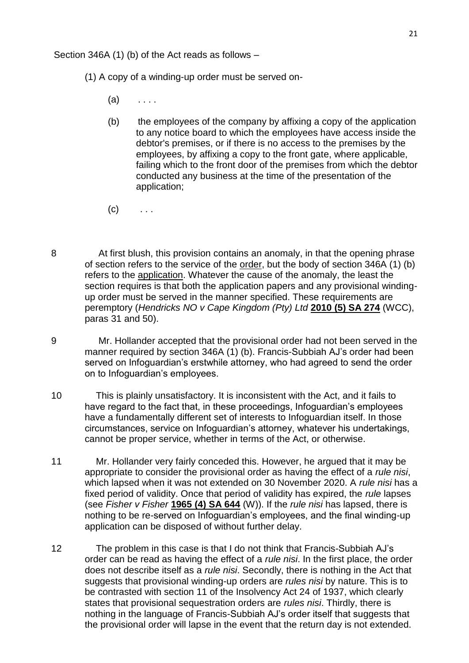Section 346A (1) (b) of the Act reads as follows –

- (1) A copy of a winding-up order must be served on-
	- $(a)$  ....
	- (b) the employees of the company by affixing a copy of the application to any notice board to which the employees have access inside the debtor's premises, or if there is no access to the premises by the employees, by affixing a copy to the front gate, where applicable, failing which to the front door of the premises from which the debtor conducted any business at the time of the presentation of the application;
	- $(c)$  ...
- 8 At first blush, this provision contains an anomaly, in that the opening phrase of section refers to the service of the order, but the body of section 346A (1) (b) refers to the application. Whatever the cause of the anomaly, the least the section requires is that both the application papers and any provisional windingup order must be served in the manner specified. These requirements are peremptory (*Hendricks NO v Cape Kingdom (Pty) Ltd* **[2010 \(5\) SA 274](http://www.saflii.org/cgi-bin/LawCite?cit=2010%20%285%29%20SA%20274)** (WCC), paras 31 and 50).
- 9 Mr. Hollander accepted that the provisional order had not been served in the manner required by section 346A (1) (b). Francis-Subbiah AJ's order had been served on Infoguardian's erstwhile attorney, who had agreed to send the order on to Infoguardian's employees.
- 10 This is plainly unsatisfactory. It is inconsistent with the Act, and it fails to have regard to the fact that, in these proceedings, Infoguardian's employees have a fundamentally different set of interests to Infoguardian itself. In those circumstances, service on Infoguardian's attorney, whatever his undertakings, cannot be proper service, whether in terms of the Act, or otherwise.
- 11 Mr. Hollander very fairly conceded this. However, he argued that it may be appropriate to consider the provisional order as having the effect of a *rule nisi*, which lapsed when it was not extended on 30 November 2020. A *rule nisi* has a fixed period of validity. Once that period of validity has expired, the *rule* lapses (see *Fisher v Fisher* **[1965 \(4\) SA 644](http://www.saflii.org/cgi-bin/LawCite?cit=1965%20%284%29%20SA%20644)** (W)). If the *rule nisi* has lapsed, there is nothing to be re-served on Infoguardian's employees, and the final winding-up application can be disposed of without further delay.
- 12 The problem in this case is that I do not think that Francis-Subbiah AJ's order can be read as having the effect of a *rule nisi*. In the first place, the order does not describe itself as a *rule nisi*. Secondly, there is nothing in the Act that suggests that provisional winding-up orders are *rules nisi* by nature. This is to be contrasted with section 11 of the Insolvency Act 24 of 1937, which clearly states that provisional sequestration orders are *rules nisi*. Thirdly, there is nothing in the language of Francis-Subbiah AJ's order itself that suggests that the provisional order will lapse in the event that the return day is not extended.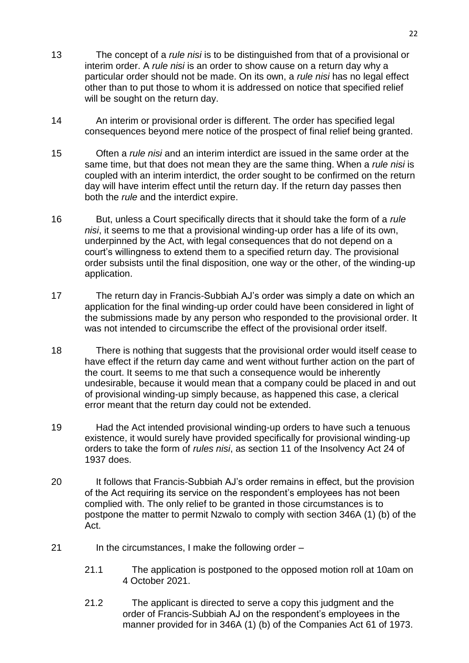- 13 The concept of a *rule nisi* is to be distinguished from that of a provisional or interim order. A *rule nisi* is an order to show cause on a return day why a particular order should not be made. On its own, a *rule nisi* has no legal effect other than to put those to whom it is addressed on notice that specified relief will be sought on the return day.
- 14 An interim or provisional order is different. The order has specified legal consequences beyond mere notice of the prospect of final relief being granted.
- 15 Often a *rule nisi* and an interim interdict are issued in the same order at the same time, but that does not mean they are the same thing. When a *rule nisi* is coupled with an interim interdict, the order sought to be confirmed on the return day will have interim effect until the return day. If the return day passes then both the *rule* and the interdict expire.
- 16 But, unless a Court specifically directs that it should take the form of a *rule nisi*, it seems to me that a provisional winding-up order has a life of its own, underpinned by the Act, with legal consequences that do not depend on a court's willingness to extend them to a specified return day. The provisional order subsists until the final disposition, one way or the other, of the winding-up application.
- 17 The return day in Francis-Subbiah AJ's order was simply a date on which an application for the final winding-up order could have been considered in light of the submissions made by any person who responded to the provisional order. It was not intended to circumscribe the effect of the provisional order itself.
- 18 There is nothing that suggests that the provisional order would itself cease to have effect if the return day came and went without further action on the part of the court. It seems to me that such a consequence would be inherently undesirable, because it would mean that a company could be placed in and out of provisional winding-up simply because, as happened this case, a clerical error meant that the return day could not be extended.
- 19 Had the Act intended provisional winding-up orders to have such a tenuous existence, it would surely have provided specifically for provisional winding-up orders to take the form of *rules nisi*, as section 11 of the Insolvency Act 24 of 1937 does.
- 20 It follows that Francis-Subbiah AJ's order remains in effect, but the provision of the Act requiring its service on the respondent's employees has not been complied with. The only relief to be granted in those circumstances is to postpone the matter to permit Nzwalo to comply with section 346A (1) (b) of the Act.
- 21 In the circumstances, I make the following order
	- 21.1 The application is postponed to the opposed motion roll at 10am on 4 October 2021.
	- 21.2 The applicant is directed to serve a copy this judgment and the order of Francis-Subbiah AJ on the respondent's employees in the manner provided for in 346A (1) (b) of the Companies Act 61 of 1973.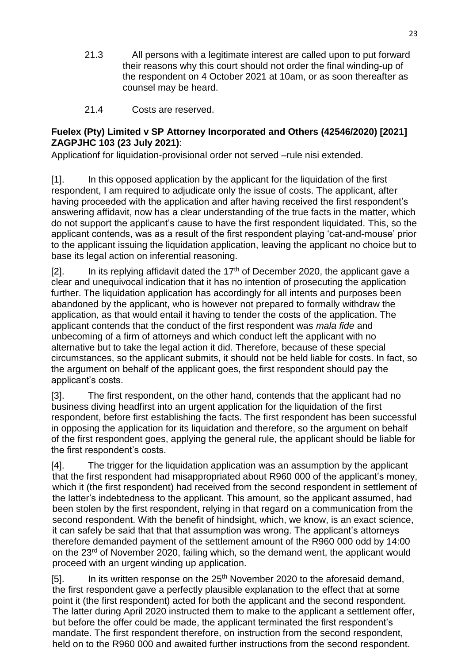- 21.3 All persons with a legitimate interest are called upon to put forward their reasons why this court should not order the final winding-up of the respondent on 4 October 2021 at 10am, or as soon thereafter as counsel may be heard.
- 21.4 Costs are reserved.

### **Fuelex (Pty) Limited v SP Attorney Incorporated and Others (42546/2020) [2021] ZAGPJHC 103 (23 July 2021)**:

Applicationf for liquidation-provisional order not served –rule nisi extended.

[1]. In this opposed application by the applicant for the liquidation of the first respondent, I am required to adjudicate only the issue of costs. The applicant, after having proceeded with the application and after having received the first respondent's answering affidavit, now has a clear understanding of the true facts in the matter, which do not support the applicant's cause to have the first respondent liquidated. This, so the applicant contends, was as a result of the first respondent playing 'cat-and-mouse' prior to the applicant issuing the liquidation application, leaving the applicant no choice but to base its legal action on inferential reasoning.

[2]. In its replying affidavit dated the  $17<sup>th</sup>$  of December 2020, the applicant gave a clear and unequivocal indication that it has no intention of prosecuting the application further. The liquidation application has accordingly for all intents and purposes been abandoned by the applicant, who is however not prepared to formally withdraw the application, as that would entail it having to tender the costs of the application. The applicant contends that the conduct of the first respondent was *mala fide* and unbecoming of a firm of attorneys and which conduct left the applicant with no alternative but to take the legal action it did. Therefore, because of these special circumstances, so the applicant submits, it should not be held liable for costs. In fact, so the argument on behalf of the applicant goes, the first respondent should pay the applicant's costs.

[3]. The first respondent, on the other hand, contends that the applicant had no business diving headfirst into an urgent application for the liquidation of the first respondent, before first establishing the facts. The first respondent has been successful in opposing the application for its liquidation and therefore, so the argument on behalf of the first respondent goes, applying the general rule, the applicant should be liable for the first respondent's costs.

[4]. The trigger for the liquidation application was an assumption by the applicant that the first respondent had misappropriated about R960 000 of the applicant's money, which it (the first respondent) had received from the second respondent in settlement of the latter's indebtedness to the applicant. This amount, so the applicant assumed, had been stolen by the first respondent, relying in that regard on a communication from the second respondent. With the benefit of hindsight, which, we know, is an exact science, it can safely be said that that that assumption was wrong. The applicant's attorneys therefore demanded payment of the settlement amount of the R960 000 odd by 14:00 on the 23<sup>rd</sup> of November 2020, failing which, so the demand went, the applicant would proceed with an urgent winding up application.

[5]. In its written response on the  $25<sup>th</sup>$  November 2020 to the aforesaid demand, the first respondent gave a perfectly plausible explanation to the effect that at some point it (the first respondent) acted for both the applicant and the second respondent. The latter during April 2020 instructed them to make to the applicant a settlement offer, but before the offer could be made, the applicant terminated the first respondent's mandate. The first respondent therefore, on instruction from the second respondent, held on to the R960 000 and awaited further instructions from the second respondent.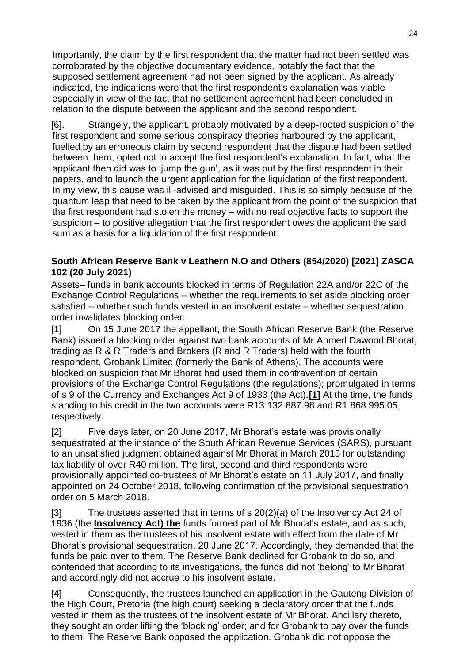Importantly, the claim by the first respondent that the matter had not been settled was corroborated by the objective documentary evidence, notably the fact that the supposed settlement agreement had not been signed by the applicant. As already indicated, the indications were that the first respondent's explanation was viable especially in view of the fact that no settlement agreement had been concluded in relation to the dispute between the applicant and the second respondent.

[6]. Strangely, the applicant, probably motivated by a deep-rooted suspicion of the first respondent and some serious conspiracy theories harboured by the applicant, fuelled by an erroneous claim by second respondent that the dispute had been settled between them, opted not to accept the first respondent's explanation. In fact, what the applicant then did was to 'jump the gun', as it was put by the first respondent in their papers, and to launch the urgent application for the liquidation of the first respondent. In my view, this cause was ill-advised and misguided. This is so simply because of the quantum leap that need to be taken by the applicant from the point of the suspicion that the first respondent had stolen the money – with no real objective facts to support the suspicion – to positive allegation that the first respondent owes the applicant the said sum as a basis for a liquidation of the first respondent.

### **South African Reserve Bank v Leathern N.O and Others (854/2020) [2021] ZASCA 102 (20 July 2021)**

Assets– funds in bank accounts blocked in terms of Regulation 22A and/or 22C of the Exchange Control Regulations – whether the requirements to set aside blocking order satisfied – whether such funds vested in an insolvent estate – whether sequestration order invalidates blocking order.

[1] On 15 June 2017 the appellant, the South African Reserve Bank (the Reserve Bank) issued a blocking order against two bank accounts of Mr Ahmed Dawood Bhorat, trading as R & R Traders and Brokers (R and R Traders) held with the fourth respondent, Grobank Limited (formerly the Bank of Athens). The accounts were blocked on suspicion that Mr Bhorat had used them in contravention of certain provisions of the Exchange Control Regulations (the regulations); promulgated in terms of s 9 of the Currency and Exchanges Act 9 of 1933 (the Act).**[1]** At the time, the funds standing to his credit in the two accounts were R13 132 887.98 and R1 868 995.05, respectively.

[2] Five days later, on 20 June 2017, Mr Bhorat's estate was provisionally sequestrated at the instance of the South African Revenue Services (SARS), pursuant to an unsatisfied judgment obtained against Mr Bhorat in March 2015 for outstanding tax liability of over R40 million. The first, second and third respondents were provisionally appointed co-trustees of Mr Bhorat's estate on 11 July 2017, and finally appointed on 24 October 2018, following confirmation of the provisional sequestration order on 5 March 2018.

[3] The trustees asserted that in terms of s 20(2)(*a*) of the Insolvency Act 24 of 1936 (the **Insolvency Act) the** funds formed part of Mr Bhorat's estate, and as such, vested in them as the trustees of his insolvent estate with effect from the date of Mr Bhorat's provisional sequestration, 20 June 2017. Accordingly, they demanded that the funds be paid over to them. The Reserve Bank declined for Grobank to do so, and contended that according to its investigations, the funds did not 'belong' to Mr Bhorat and accordingly did not accrue to his insolvent estate.

[4] Consequently, the trustees launched an application in the Gauteng Division of the High Court, Pretoria (the high court) seeking a declaratory order that the funds vested in them as the trustees of the insolvent estate of Mr Bhorat. Ancillary thereto, they sought an order lifting the 'blocking' order; and for Grobank to pay over the funds to them. The Reserve Bank opposed the application. Grobank did not oppose the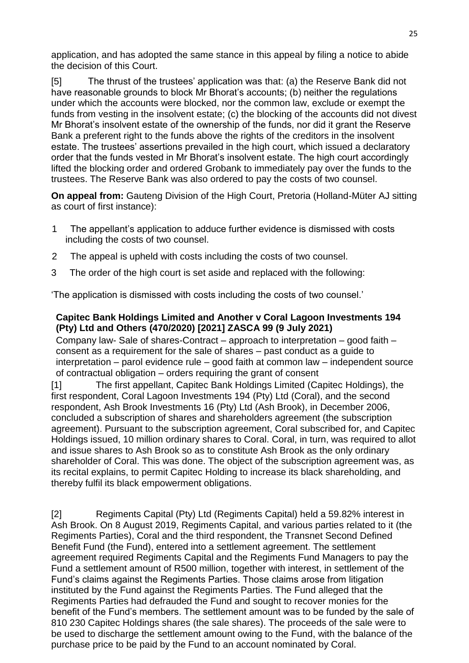application, and has adopted the same stance in this appeal by filing a notice to abide the decision of this Court.

[5] The thrust of the trustees' application was that: (a) the Reserve Bank did not have reasonable grounds to block Mr Bhorat's accounts; (b) neither the regulations under which the accounts were blocked, nor the common law, exclude or exempt the funds from vesting in the insolvent estate; (c) the blocking of the accounts did not divest Mr Bhorat's insolvent estate of the ownership of the funds, nor did it grant the Reserve Bank a preferent right to the funds above the rights of the creditors in the insolvent estate. The trustees' assertions prevailed in the high court, which issued a declaratory order that the funds vested in Mr Bhorat's insolvent estate. The high court accordingly lifted the blocking order and ordered Grobank to immediately pay over the funds to the trustees. The Reserve Bank was also ordered to pay the costs of two counsel.

**On appeal from:** Gauteng Division of the High Court, Pretoria (Holland-Müter AJ sitting as court of first instance):

- 1 The appellant's application to adduce further evidence is dismissed with costs including the costs of two counsel.
- 2 The appeal is upheld with costs including the costs of two counsel.
- 3 The order of the high court is set aside and replaced with the following:

'The application is dismissed with costs including the costs of two counsel.'

### **Capitec Bank Holdings Limited and Another v Coral Lagoon Investments 194 (Pty) Ltd and Others (470/2020) [2021] ZASCA 99 (9 July 2021)**

Company law- Sale of shares-Contract – approach to interpretation – good faith – consent as a requirement for the sale of shares – past conduct as a guide to interpretation – parol evidence rule – good faith at common law – independent source of contractual obligation – orders requiring the grant of consent

[1] The first appellant, Capitec Bank Holdings Limited (Capitec Holdings), the first respondent, Coral Lagoon Investments 194 (Pty) Ltd (Coral), and the second respondent, Ash Brook Investments 16 (Pty) Ltd (Ash Brook), in December 2006, concluded a subscription of shares and shareholders agreement (the subscription agreement). Pursuant to the subscription agreement, Coral subscribed for, and Capitec Holdings issued, 10 million ordinary shares to Coral. Coral, in turn, was required to allot and issue shares to Ash Brook so as to constitute Ash Brook as the only ordinary shareholder of Coral. This was done. The object of the subscription agreement was, as its recital explains, to permit Capitec Holding to increase its black shareholding, and thereby fulfil its black empowerment obligations.

[2] Regiments Capital (Pty) Ltd (Regiments Capital) held a 59.82% interest in Ash Brook. On 8 August 2019, Regiments Capital, and various parties related to it (the Regiments Parties), Coral and the third respondent, the Transnet Second Defined Benefit Fund (the Fund), entered into a settlement agreement. The settlement agreement required Regiments Capital and the Regiments Fund Managers to pay the Fund a settlement amount of R500 million, together with interest, in settlement of the Fund's claims against the Regiments Parties. Those claims arose from litigation instituted by the Fund against the Regiments Parties. The Fund alleged that the Regiments Parties had defrauded the Fund and sought to recover monies for the benefit of the Fund's members. The settlement amount was to be funded by the sale of 810 230 Capitec Holdings shares (the sale shares). The proceeds of the sale were to be used to discharge the settlement amount owing to the Fund, with the balance of the purchase price to be paid by the Fund to an account nominated by Coral.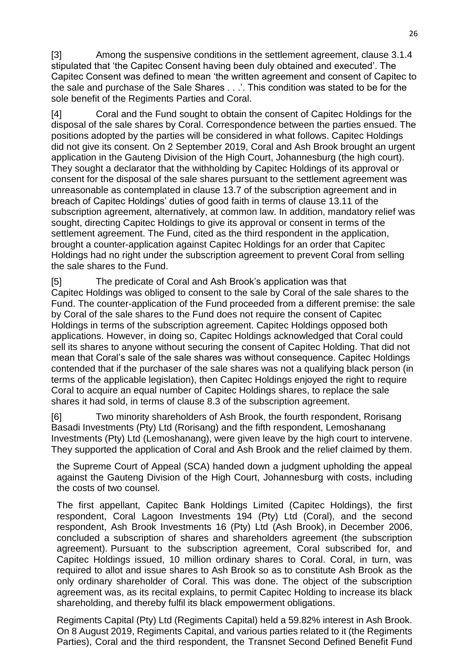[3] Among the suspensive conditions in the settlement agreement, clause 3.1.4 stipulated that 'the Capitec Consent having been duly obtained and executed'. The Capitec Consent was defined to mean 'the written agreement and consent of Capitec to the sale and purchase of the Sale Shares . . .'. This condition was stated to be for the sole benefit of the Regiments Parties and Coral.

[4] Coral and the Fund sought to obtain the consent of Capitec Holdings for the disposal of the sale shares by Coral. Correspondence between the parties ensued. The positions adopted by the parties will be considered in what follows. Capitec Holdings did not give its consent. On 2 September 2019, Coral and Ash Brook brought an urgent application in the Gauteng Division of the High Court, Johannesburg (the high court). They sought a declarator that the withholding by Capitec Holdings of its approval or consent for the disposal of the sale shares pursuant to the settlement agreement was unreasonable as contemplated in clause 13.7 of the subscription agreement and in breach of Capitec Holdings' duties of good faith in terms of clause 13.11 of the subscription agreement, alternatively, at common law. In addition, mandatory relief was sought, directing Capitec Holdings to give its approval or consent in terms of the settlement agreement. The Fund, cited as the third respondent in the application, brought a counter-application against Capitec Holdings for an order that Capitec Holdings had no right under the subscription agreement to prevent Coral from selling the sale shares to the Fund.

[5] The predicate of Coral and Ash Brook's application was that Capitec Holdings was obliged to consent to the sale by Coral of the sale shares to the Fund. The counter-application of the Fund proceeded from a different premise: the sale by Coral of the sale shares to the Fund does not require the consent of Capitec Holdings in terms of the subscription agreement. Capitec Holdings opposed both applications. However, in doing so, Capitec Holdings acknowledged that Coral could sell its shares to anyone without securing the consent of Capitec Holding. That did not mean that Coral's sale of the sale shares was without consequence. Capitec Holdings contended that if the purchaser of the sale shares was not a qualifying black person (in terms of the applicable legislation), then Capitec Holdings enjoyed the right to require Coral to acquire an equal number of Capitec Holdings shares, to replace the sale shares it had sold, in terms of clause 8.3 of the subscription agreement.

[6] Two minority shareholders of Ash Brook, the fourth respondent, Rorisang Basadi Investments (Pty) Ltd (Rorisang) and the fifth respondent, Lemoshanang Investments (Pty) Ltd (Lemoshanang), were given leave by the high court to intervene. They supported the application of Coral and Ash Brook and the relief claimed by them.

the Supreme Court of Appeal (SCA) handed down a judgment upholding the appeal against the Gauteng Division of the High Court, Johannesburg with costs, including the costs of two counsel.

The first appellant, Capitec Bank Holdings Limited (Capitec Holdings), the first respondent, Coral Lagoon Investments 194 (Pty) Ltd (Coral), and the second respondent, Ash Brook Investments 16 (Pty) Ltd (Ash Brook), in December 2006, concluded a subscription of shares and shareholders agreement (the subscription agreement). Pursuant to the subscription agreement, Coral subscribed for, and Capitec Holdings issued, 10 million ordinary shares to Coral. Coral, in turn, was required to allot and issue shares to Ash Brook so as to constitute Ash Brook as the only ordinary shareholder of Coral. This was done. The object of the subscription agreement was, as its recital explains, to permit Capitec Holding to increase its black shareholding, and thereby fulfil its black empowerment obligations.

Regiments Capital (Pty) Ltd (Regiments Capital) held a 59.82% interest in Ash Brook. On 8 August 2019, Regiments Capital, and various parties related to it (the Regiments Parties), Coral and the third respondent, the Transnet Second Defined Benefit Fund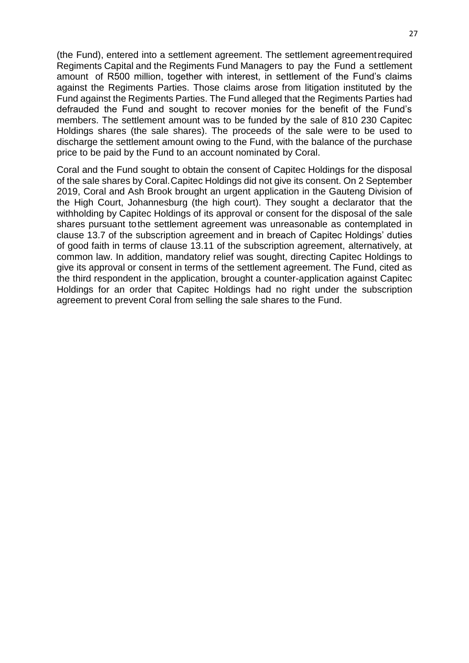(the Fund), entered into a settlement agreement. The settlement agreementrequired Regiments Capital and the Regiments Fund Managers to pay the Fund a settlement amount of R500 million, together with interest, in settlement of the Fund's claims against the Regiments Parties. Those claims arose from litigation instituted by the Fund against the Regiments Parties. The Fund alleged that the Regiments Parties had defrauded the Fund and sought to recover monies for the benefit of the Fund's members. The settlement amount was to be funded by the sale of 810 230 Capitec Holdings shares (the sale shares). The proceeds of the sale were to be used to discharge the settlement amount owing to the Fund, with the balance of the purchase price to be paid by the Fund to an account nominated by Coral.

Coral and the Fund sought to obtain the consent of Capitec Holdings for the disposal of the sale shares by Coral.Capitec Holdings did not give its consent. On 2 September 2019, Coral and Ash Brook brought an urgent application in the Gauteng Division of the High Court, Johannesburg (the high court). They sought a declarator that the withholding by Capitec Holdings of its approval or consent for the disposal of the sale shares pursuant tothe settlement agreement was unreasonable as contemplated in clause 13.7 of the subscription agreement and in breach of Capitec Holdings' duties of good faith in terms of clause 13.11 of the subscription agreement, alternatively, at common law. In addition, mandatory relief was sought, directing Capitec Holdings to give its approval or consent in terms of the settlement agreement. The Fund, cited as the third respondent in the application, brought a counter-application against Capitec Holdings for an order that Capitec Holdings had no right under the subscription agreement to prevent Coral from selling the sale shares to the Fund.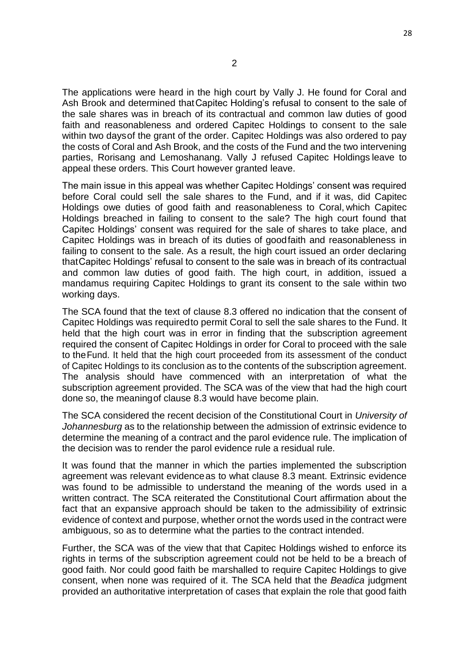The applications were heard in the high court by Vally J. He found for Coral and Ash Brook and determined thatCapitec Holding's refusal to consent to the sale of the sale shares was in breach of its contractual and common law duties of good faith and reasonableness and ordered Capitec Holdings to consent to the sale within two daysof the grant of the order. Capitec Holdings was also ordered to pay the costs of Coral and Ash Brook, and the costs of the Fund and the two intervening parties, Rorisang and Lemoshanang. Vally J refused Capitec Holdings leave to appeal these orders. This Court however granted leave.

The main issue in this appeal was whether Capitec Holdings' consent was required before Coral could sell the sale shares to the Fund, and if it was, did Capitec Holdings owe duties of good faith and reasonableness to Coral, which Capitec Holdings breached in failing to consent to the sale? The high court found that Capitec Holdings' consent was required for the sale of shares to take place, and Capitec Holdings was in breach of its duties of goodfaith and reasonableness in failing to consent to the sale. As a result, the high court issued an order declaring thatCapitec Holdings' refusal to consent to the sale was in breach of its contractual and common law duties of good faith. The high court, in addition, issued a mandamus requiring Capitec Holdings to grant its consent to the sale within two working days.

The SCA found that the text of clause 8.3 offered no indication that the consent of Capitec Holdings was requiredto permit Coral to sell the sale shares to the Fund. It held that the high court was in error in finding that the subscription agreement required the consent of Capitec Holdings in order for Coral to proceed with the sale to theFund. It held that the high court proceeded from its assessment of the conduct of Capitec Holdings to its conclusion as to the contents of the subscription agreement. The analysis should have commenced with an interpretation of what the subscription agreement provided. The SCA was of the view that had the high court done so, the meaningof clause 8.3 would have become plain.

The SCA considered the recent decision of the Constitutional Court in *University of Johannesburg* as to the relationship between the admission of extrinsic evidence to determine the meaning of a contract and the parol evidence rule. The implication of the decision was to render the parol evidence rule a residual rule.

It was found that the manner in which the parties implemented the subscription agreement was relevant evidenceas to what clause 8.3 meant. Extrinsic evidence was found to be admissible to understand the meaning of the words used in a written contract. The SCA reiterated the Constitutional Court affirmation about the fact that an expansive approach should be taken to the admissibility of extrinsic evidence of context and purpose, whether ornot the words used in the contract were ambiguous, so as to determine what the parties to the contract intended.

Further, the SCA was of the view that that Capitec Holdings wished to enforce its rights in terms of the subscription agreement could not be held to be a breach of good faith. Nor could good faith be marshalled to require Capitec Holdings to give consent, when none was required of it. The SCA held that the *Beadica* judgment provided an authoritative interpretation of cases that explain the role that good faith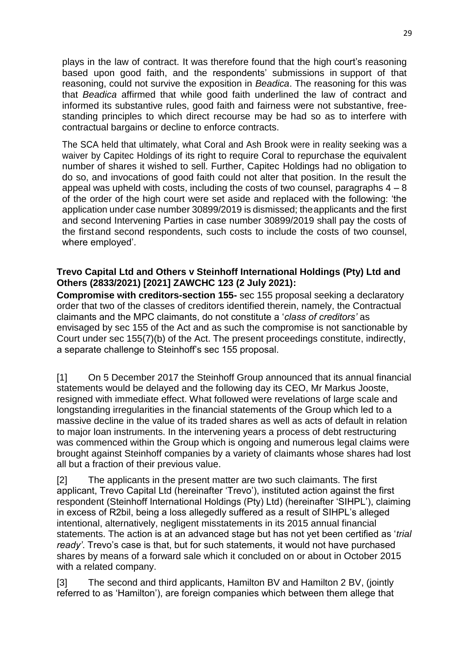plays in the law of contract. It was therefore found that the high court's reasoning based upon good faith, and the respondents' submissions in support of that reasoning, could not survive the exposition in *Beadica*. The reasoning for this was that *Beadica* affirmed that while good faith underlined the law of contract and informed its substantive rules, good faith and fairness were not substantive, freestanding principles to which direct recourse may be had so as to interfere with contractual bargains or decline to enforce contracts.

The SCA held that ultimately, what Coral and Ash Brook were in reality seeking was a waiver by Capitec Holdings of its right to require Coral to repurchase the equivalent number of shares it wished to sell. Further, Capitec Holdings had no obligation to do so, and invocations of good faith could not alter that position. In the result the appeal was upheld with costs, including the costs of two counsel, paragraphs  $4 - 8$ of the order of the high court were set aside and replaced with the following: 'the application under case number 30899/2019 is dismissed; theapplicants and the first and second Intervening Parties in case number 30899/2019 shall pay the costs of the firstand second respondents, such costs to include the costs of two counsel, where employed'.

### **Trevo Capital Ltd and Others v Steinhoff International Holdings (Pty) Ltd and Others (2833/2021) [2021] ZAWCHC 123 (2 July 2021):**

**Compromise with creditors-section 155-** sec 155 proposal seeking a declaratory order that two of the classes of creditors identified therein, namely, the Contractual claimants and the MPC claimants, do not constitute a '*class of creditors'* as envisaged by sec 155 of the Act and as such the compromise is not sanctionable by Court under sec 155(7)(b) of the Act. The present proceedings constitute, indirectly, a separate challenge to Steinhoff's sec 155 proposal.

[1] On 5 December 2017 the Steinhoff Group announced that its annual financial statements would be delayed and the following day its CEO, Mr Markus Jooste, resigned with immediate effect. What followed were revelations of large scale and longstanding irregularities in the financial statements of the Group which led to a massive decline in the value of its traded shares as well as acts of default in relation to major loan instruments. In the intervening years a process of debt restructuring was commenced within the Group which is ongoing and numerous legal claims were brought against Steinhoff companies by a variety of claimants whose shares had lost all but a fraction of their previous value.

[2] The applicants in the present matter are two such claimants. The first applicant, Trevo Capital Ltd (hereinafter 'Trevo'), instituted action against the first respondent (Steinhoff International Holdings (Pty) Ltd) (hereinafter 'SIHPL'), claiming in excess of R2bil, being a loss allegedly suffered as a result of SIHPL's alleged intentional, alternatively, negligent misstatements in its 2015 annual financial statements. The action is at an advanced stage but has not yet been certified as '*trial ready'*. Trevo's case is that, but for such statements, it would not have purchased shares by means of a forward sale which it concluded on or about in October 2015 with a related company.

[3] The second and third applicants, Hamilton BV and Hamilton 2 BV, (jointly referred to as 'Hamilton'), are foreign companies which between them allege that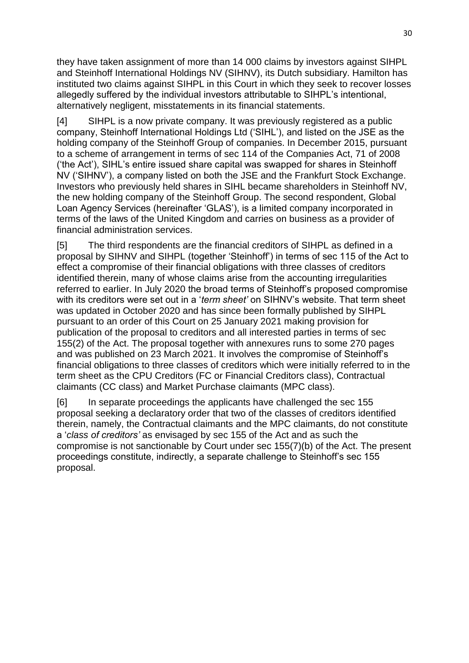they have taken assignment of more than 14 000 claims by investors against SIHPL and Steinhoff International Holdings NV (SIHNV), its Dutch subsidiary. Hamilton has instituted two claims against SIHPL in this Court in which they seek to recover losses allegedly suffered by the individual investors attributable to SIHPL's intentional, alternatively negligent, misstatements in its financial statements.

[4] SIHPL is a now private company. It was previously registered as a public company, Steinhoff International Holdings Ltd ('SIHL'), and listed on the JSE as the holding company of the Steinhoff Group of companies. In December 2015, pursuant to a scheme of arrangement in terms of sec 114 of the Companies Act, 71 of 2008 ('the Act'), SIHL's entire issued share capital was swapped for shares in Steinhoff NV ('SIHNV'), a company listed on both the JSE and the Frankfurt Stock Exchange. Investors who previously held shares in SIHL became shareholders in Steinhoff NV, the new holding company of the Steinhoff Group. The second respondent, Global Loan Agency Services (hereinafter 'GLAS'), is a limited company incorporated in terms of the laws of the United Kingdom and carries on business as a provider of financial administration services.

[5] The third respondents are the financial creditors of SIHPL as defined in a proposal by SIHNV and SIHPL (together 'Steinhoff') in terms of sec 115 of the Act to effect a compromise of their financial obligations with three classes of creditors identified therein, many of whose claims arise from the accounting irregularities referred to earlier. In July 2020 the broad terms of Steinhoff's proposed compromise with its creditors were set out in a '*term sheet'* on SIHNV's website. That term sheet was updated in October 2020 and has since been formally published by SIHPL pursuant to an order of this Court on 25 January 2021 making provision for publication of the proposal to creditors and all interested parties in terms of sec 155(2) of the Act. The proposal together with annexures runs to some 270 pages and was published on 23 March 2021. It involves the compromise of Steinhoff's financial obligations to three classes of creditors which were initially referred to in the term sheet as the CPU Creditors (FC or Financial Creditors class), Contractual claimants (CC class) and Market Purchase claimants (MPC class).

[6] In separate proceedings the applicants have challenged the sec 155 proposal seeking a declaratory order that two of the classes of creditors identified therein, namely, the Contractual claimants and the MPC claimants, do not constitute a '*class of creditors'* as envisaged by sec 155 of the Act and as such the compromise is not sanctionable by Court under sec 155(7)(b) of the Act. The present proceedings constitute, indirectly, a separate challenge to Steinhoff's sec 155 proposal.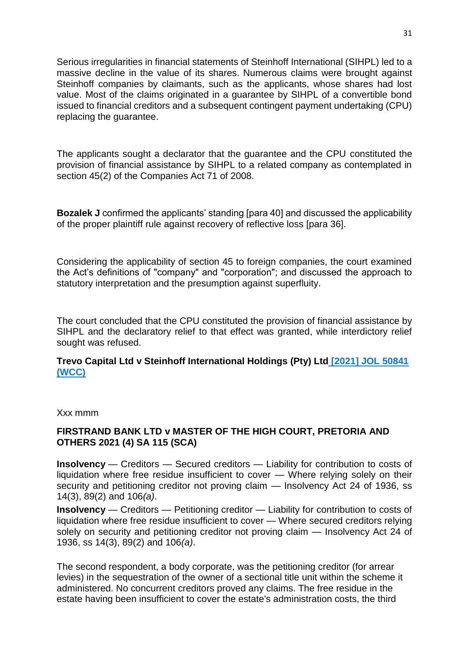Serious irregularities in financial statements of Steinhoff International (SIHPL) led to a massive decline in the value of its shares. Numerous claims were brought against Steinhoff companies by claimants, such as the applicants, whose shares had lost value. Most of the claims originated in a guarantee by SIHPL of a convertible bond issued to financial creditors and a subsequent contingent payment undertaking (CPU) replacing the guarantee.

The applicants sought a declarator that the guarantee and the CPU constituted the provision of financial assistance by SIHPL to a related company as contemplated in section 45(2) of the Companies Act 71 of 2008.

**Bozalek J** confirmed the applicants' standing [para 40] and discussed the applicability of the proper plaintiff rule against recovery of reflective loss [para 36].

Considering the applicability of section 45 to foreign companies, the court examined the Act's definitions of "company" and "corporation"; and discussed the approach to statutory interpretation and the presumption against superfluity.

The court concluded that the CPU constituted the provision of financial assistance by SIHPL and the declaratory relief to that effect was granted, while interdictory relief sought was refused.

#### **Trevo Capital Ltd v Steinhoff International Holdings (Pty) Ltd [\[2021\] JOL 50841](https://lexisnexisza.lt.acemlnc.com/Prod/link-tracker?redirectUrl=aHR0cHMlM0ElMkYlMkZkcml2ZS5nb29nbGUuY29tJTJGZmlsZSUyRmQlMkYxUzM2c1BLckNNeGo1aXVSNFVTaUdmTGdnemhnTm14MDElMkZ2aWV3JTNGdXNwJTNEc2hhcmluZw==&a=650031785&account=lexisnexisza%2Eactivehosted%2Ecom&email=74wJE8ORA6caefT5Z9VD%2Bv6RAh75nUo7gcyIyXc0xJM%3D&s=5a995110651184780325cd5806ea230e&i=1152A1201A10A8997)  [\(WCC\)](https://lexisnexisza.lt.acemlnc.com/Prod/link-tracker?redirectUrl=aHR0cHMlM0ElMkYlMkZkcml2ZS5nb29nbGUuY29tJTJGZmlsZSUyRmQlMkYxUzM2c1BLckNNeGo1aXVSNFVTaUdmTGdnemhnTm14MDElMkZ2aWV3JTNGdXNwJTNEc2hhcmluZw==&a=650031785&account=lexisnexisza%2Eactivehosted%2Ecom&email=74wJE8ORA6caefT5Z9VD%2Bv6RAh75nUo7gcyIyXc0xJM%3D&s=5a995110651184780325cd5806ea230e&i=1152A1201A10A8997)**

Xxx mmm

### **FIRSTRAND BANK LTD v MASTER OF THE HIGH COURT, PRETORIA AND OTHERS 2021 (4) SA 115 (SCA)**

**Insolvency** — Creditors — Secured creditors — Liability for contribution to costs of liquidation where free residue insufficient to cover — Where relying solely on their security and petitioning creditor not proving claim — Insolvency Act 24 of 1936, ss 14(3), 89(2) and 106*(a)*.

**Insolvency** — Creditors — Petitioning creditor — Liability for contribution to costs of liquidation where free residue insufficient to cover — Where secured creditors relying solely on security and petitioning creditor not proving claim — Insolvency Act 24 of 1936, ss 14(3), 89(2) and 106*(a)*.

The second respondent, a body corporate, was the petitioning creditor (for arrear levies) in the sequestration of the owner of a sectional title unit within the scheme it administered. No concurrent creditors proved any claims. The free residue in the estate having been insufficient to cover the estate's administration costs, the third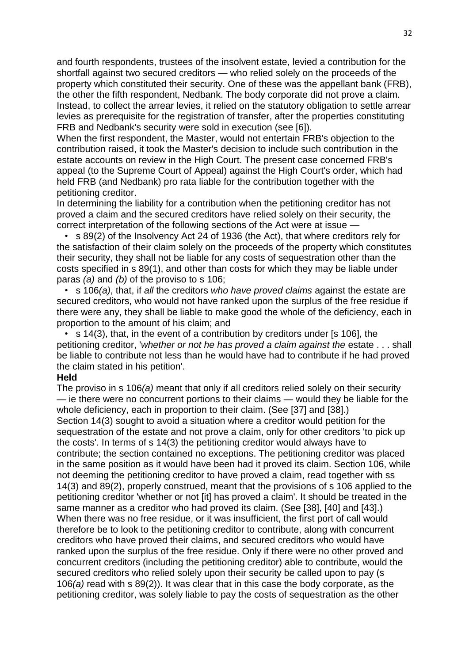and fourth respondents, trustees of the insolvent estate, levied a contribution for the shortfall against two secured creditors — who relied solely on the proceeds of the property which constituted their security. One of these was the appellant bank (FRB), the other the fifth respondent, Nedbank. The body corporate did not prove a claim. Instead, to collect the arrear levies, it relied on the statutory obligation to settle arrear levies as prerequisite for the registration of transfer, after the properties constituting FRB and Nedbank's security were sold in execution (see [6]).

When the first respondent, the Master, would not entertain FRB's objection to the contribution raised, it took the Master's decision to include such contribution in the estate accounts on review in the High Court. The present case concerned FRB's appeal (to the Supreme Court of Appeal) against the High Court's order, which had held FRB (and Nedbank) pro rata liable for the contribution together with the petitioning creditor.

In determining the liability for a contribution when the petitioning creditor has not proved a claim and the secured creditors have relied solely on their security, the correct interpretation of the following sections of the Act were at issue —

 • s 89(2) of the Insolvency Act 24 of 1936 (the Act), that where creditors rely for the satisfaction of their claim solely on the proceeds of the property which constitutes their security, they shall not be liable for any costs of sequestration other than the costs specified in s 89(1), and other than costs for which they may be liable under paras *(a)* and *(b)* of the proviso to s 106;

 • s 106*(a)*, that, if *all* the creditors *who have proved claims* against the estate are secured creditors, who would not have ranked upon the surplus of the free residue if there were any, they shall be liable to make good the whole of the deficiency, each in proportion to the amount of his claim; and

 • s 14(3), that, in the event of a contribution by creditors under [s 106], the petitioning creditor, '*whether or not he has proved a claim against the* estate . . . shall be liable to contribute not less than he would have had to contribute if he had proved the claim stated in his petition'.

#### **Held**

The proviso in s 106*(a)* meant that only if all creditors relied solely on their security — ie there were no concurrent portions to their claims — would they be liable for the whole deficiency, each in proportion to their claim. (See [37] and [38].) Section 14(3) sought to avoid a situation where a creditor would petition for the sequestration of the estate and not prove a claim, only for other creditors 'to pick up the costs'. In terms of s 14(3) the petitioning creditor would always have to contribute; the section contained no exceptions. The petitioning creditor was placed in the same position as it would have been had it proved its claim. Section 106, while not deeming the petitioning creditor to have proved a claim, read together with ss 14(3) and 89(2), properly construed, meant that the provisions of s 106 applied to the petitioning creditor 'whether or not [it] has proved a claim'. It should be treated in the same manner as a creditor who had proved its claim. (See [38], [40] and [43].) When there was no free residue, or it was insufficient, the first port of call would therefore be to look to the petitioning creditor to contribute, along with concurrent creditors who have proved their claims, and secured creditors who would have ranked upon the surplus of the free residue. Only if there were no other proved and concurrent creditors (including the petitioning creditor) able to contribute, would the secured creditors who relied solely upon their security be called upon to pay (s 106*(a)* read with s 89(2)). It was clear that in this case the body corporate, as the petitioning creditor, was solely liable to pay the costs of sequestration as the other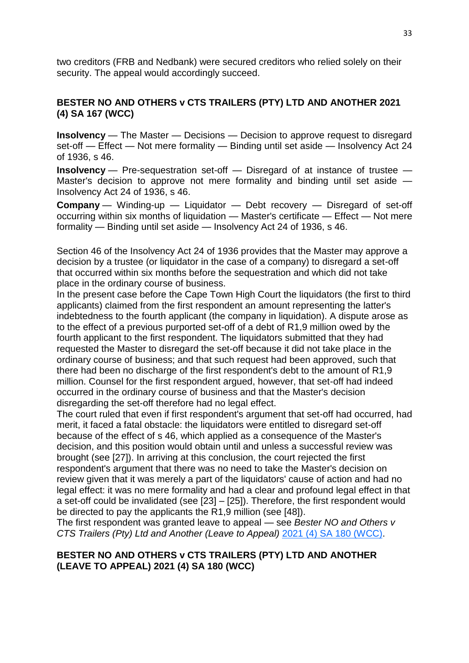two creditors (FRB and Nedbank) were secured creditors who relied solely on their security. The appeal would accordingly succeed.

### **BESTER NO AND OTHERS v CTS TRAILERS (PTY) LTD AND ANOTHER 2021 (4) SA 167 (WCC)**

**Insolvency** — The Master — Decisions — Decision to approve request to disregard set-off — Effect — Not mere formality — Binding until set aside — Insolvency Act 24 of 1936, s 46.

**Insolvency** — Pre-sequestration set-off — Disregard of at instance of trustee — Master's decision to approve not mere formality and binding until set aside — Insolvency Act 24 of 1936, s 46.

**Company** — Winding-up — Liquidator — Debt recovery — Disregard of set-off occurring within six months of liquidation — Master's certificate — Effect — Not mere formality — Binding until set aside — Insolvency Act 24 of 1936, s 46.

Section 46 of the Insolvency Act 24 of 1936 provides that the Master may approve a decision by a trustee (or liquidator in the case of a company) to disregard a set-off that occurred within six months before the sequestration and which did not take place in the ordinary course of business.

In the present case before the Cape Town High Court the liquidators (the first to third applicants) claimed from the first respondent an amount representing the latter's indebtedness to the fourth applicant (the company in liquidation). A dispute arose as to the effect of a previous purported set-off of a debt of R1,9 million owed by the fourth applicant to the first respondent. The liquidators submitted that they had requested the Master to disregard the set-off because it did not take place in the ordinary course of business; and that such request had been approved, such that there had been no discharge of the first respondent's debt to the amount of R1,9 million. Counsel for the first respondent argued, however, that set-off had indeed occurred in the ordinary course of business and that the Master's decision disregarding the set-off therefore had no legal effect.

The court ruled that even if first respondent's argument that set-off had occurred, had merit, it faced a fatal obstacle: the liquidators were entitled to disregard set-off because of the effect of s 46, which applied as a consequence of the Master's decision, and this position would obtain until and unless a successful review was brought (see [27]). In arriving at this conclusion, the court rejected the first respondent's argument that there was no need to take the Master's decision on review given that it was merely a part of the liquidators' cause of action and had no legal effect: it was no mere formality and had a clear and profound legal effect in that a set-off could be invalidated (see [23] – [25]). Therefore, the first respondent would be directed to pay the applicants the R1,9 million (see [48]).

The first respondent was granted leave to appeal — see *Bester NO and Others v CTS Trailers (Pty) Ltd and Another (Leave to Appeal)* [2021 \(4\) SA 180 \(WCC\).](https://jutastat-juta-co-za.uplib.idm.oclc.org/nxt/foliolinks.asp?f=xhitlist&xhitlist_x=Advanced&xhitlist_vpc=first&xhitlist_xsl=querylink.xsl&xhitlist_sel=title;path;content-type;home-title&xhitlist_d=%7bsalr%7d&xhitlist_q=%5bfield%20folio-destination-name:%2720214180%27%5d&xhitlist_md=target-id=0-0-0-16571)

#### **BESTER NO AND OTHERS v CTS TRAILERS (PTY) LTD AND ANOTHER (LEAVE TO APPEAL) 2021 (4) SA 180 (WCC)**